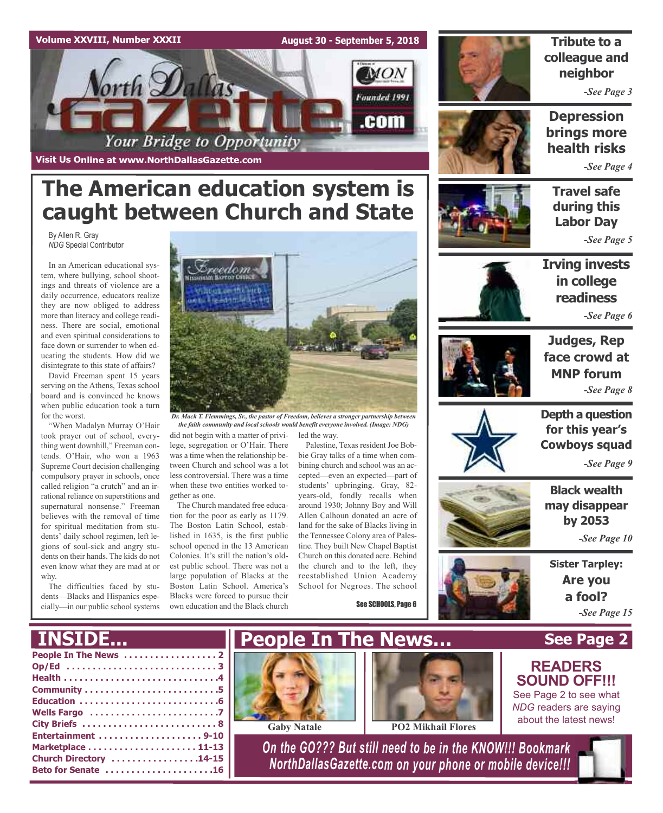

**August 30 - September 5, 2018**





## **Tribute to a colleague and neighbor**

*-See Page 3*

**Depression brings more health risks**

*-See Page 4*

## **Travel safe during this Labor Day**



**Visit Us Online at www.NorthDallasGazette.com**

# **The American education system is caught between Church and State**

By Allen R. Gray *NDG* Special Contributor

In an American educational system, where bullying, school shootings and threats of violence are a daily occurrence, educators realize they are now obliged to address more than literacy and college readiness. There are social, emotional and even spiritual considerations to face down or surrender to when educating the students. How did we disintegrate to this state of affairs?

David Freeman spent 15 years serving on the Athens, Texas school board and is convinced he knows when public education took a turn for the worst.

"When Madalyn Murray O'Hair took prayer out of school, everything went downhill," Freeman contends. O'Hair, who won a 1963 Supreme Court decision challenging compulsory prayer in schools, once called religion "a crutch" and an irrational reliance on superstitions and supernatural nonsense." Freeman believes with the removal of time for spiritual meditation from students' daily school regimen, left legions of soul-sick and angry students on their hands. The kids do not even know what they are mad at or why.

The difficulties faced by students—Blacks and Hispanics especially—in our public school systems

**Entertainment . . . . . . . . . . . . . . . . . . . . 9-10 Marketplace . . . . . . . . . . . . . . . . . . . . . 11-13 Church Directory . . . . . . . . . . . . . . . . .14-15 Beto for Senate . . . . . . . . . . . . . . . . . . . . .16**



*Dr. Mack T. Flemmings, Sr., the pastor of Freedom, believes a stronger partnership between the faith community and local schools would benefit everyone involved. (Image: NDG)*

did not begin with a matter of privilege, segregation or O'Hair. There was a time when the relationship between Church and school was a lot less controversial. There was a time when these two entities worked together as one.

The Church mandated free education for the poor as early as 1179. The Boston Latin School, established in 1635, is the first public school opened in the 13 American Colonies. It's still the nation's oldest public school. There was not a large population of Blacks at the Boston Latin School. America's Blacks were forced to pursue their own education and the Black church

led the way. Palestine, Texas resident Joe Bobbie Gray talks of a time when combining church and school was an accepted—even an expected—part of students' upbringing. Gray, 82 years-old, fondly recalls when around 1930; Johnny Boy and Will Allen Calhoun donated an acre of land for the sake of Blacks living in the Tennessee Colony area of Palestine. They built New Chapel Baptist Church on this donated acre. Behind the church and to the left, they reestablished Union Academy School for Negroes. The school

See SCHOOLS, Page 6



**Irving invests in college** *-See Page 5*

**readiness**

*-See Page 6*



**Judges, Rep face crowd at MNP forum** *-See Page 8*



**Depth <sup>a</sup> question for this year's Cowboys squad**

**Black wealth**

*-See Page 9*



**Sister Tarpley: Are you a fool?** *-See Page 15*

**See Page 2**

**READERS SOUND OFF!!!** See Page 2 to see what *NDG* readers are saying about the latest news!

## **People In The News . . . . . . . . . . . . . . . . . . 2 Op/Ed . . . . . . . . . . . . . . . . . . . . . . . . . . . . . 3 Health . . . . . . . . . . . . . . . . . . . . . . . . . . . . . .4 Community . . . . . . . . . . . . . . . . . . . . . . . . . .5 Education . . . . . . . . . . . . . . . . . . . . . . . . . . .6 Wells Fargo . . . . . . . . . . . . . . . . . . . . . . . . .7 City Briefs . . . . . . . . . . . . . . . . . . . . . . . . . . 8 INSIDE... People In The News…**



**Gaby Natale PO2 Mikhail Flores**

*On the GO??? But still need to be in the KNOW!!! Bookmark NorthDallasGazette.com on your phone or mobile device!!!*

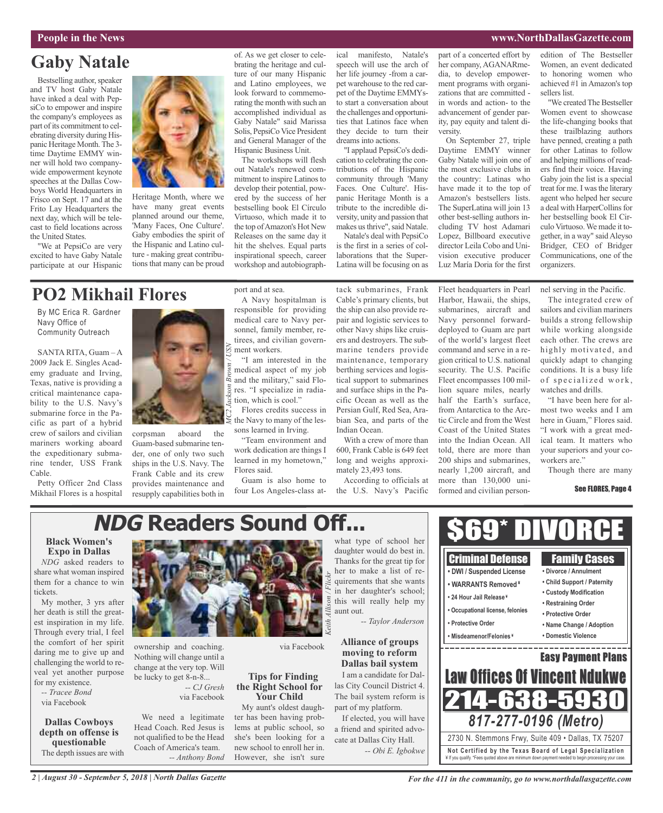#### **People in the News www.NorthDallasGazette.com**

## **Gaby Natale**

Bestselling author, speaker and TV host Gaby Natale have inked a deal with PepsiCo to empower and inspire the company's employees as part of its commitment to celebrating diversity during Hispanic Heritage Month.The 3 time Daytime EMMY winner will hold two companywide empowerment keynote speeches at the Dallas Cowboys World Headquarters in Frisco on Sept. 17 and at the Frito Lay Headquarters the next day, which will be telecast to field locations across the United States.

"We at PepsiCo are very excited to have Gaby Natale participate at our Hispanic



Heritage Month, where we have many great events planned around our theme, 'Many Faces, One Culture'. Gaby embodies the spirit of the Hispanic and Latino culture - making great contributions that many can be proud

## **PO2 Mikhail Flores**

By MC Erica R. Gardner Navy Office of Community Outreach

SANTA RITA, Guam – A 2009 Jack E. Singles Academy graduate and Irving, Texas, native is providing a critical maintenance capability to the U.S. Navy's submarine force in the Pacific as part of a hybrid crew of sailors and civilian mariners working aboard the expeditionary submarine tender, USS Frank Cable.

Petty Officer 2nd Class Mikhail Flores is a hospital



corpsman aboard the Guam-based submarine tender, one of only two such ships in the U.S. Navy. The Frank Cable and its crew provides maintenance and resupply capabilities both in

A Navy hospitalman is responsible for providing medical care to Navy personnel, family member, retirees, and civilian government workers.

of. As we get closer to celebrating the heritage and culture of our many Hispanic and Latino employees, we look forward to commemorating the month with such an accomplished individual as Gaby Natale" said Marissa Solis, PepsiCo Vice President and General Manager of the Hispanic Business Unit. The workshops will flesh out Natale's renewed commitment to inspire Latinos to develop their potential, powered by the success of her bestselling book El Círculo Virtuoso, which made it to the top ofAmazon's Hot New Releases on the same day it hit the shelves. Equal parts inspirational speech, career workshop and autobiograph-

port and at sea.

"I am interested in the medical aspect of my job and the military," said Flores. "I specialize in radiation, which is cool." *MC2 Jackson Brown / USN*

Flores credits success in the Navy to many of the lessons learned in Irving.

"Team environment and work dedication are things I learned in my hometown," Flores said.

Guam is also home to four Los Angeles-class at-

via Facebook

**Tips for Finding the Right School for Your Child** My aunt's oldest daughter has been having prob-

ical manifesto, Natale's speech will use the arch of her life journey -from a carpet warehouse to the red carpet of the Daytime EMMYsto start a conversation about the challenges and opportunities that Latinos face when they decide to turn their dreams into actions.

"I applaud PepsiCo's dedication to celebrating the contributions of the Hispanic community through 'Many Faces. One Culture'. Hispanic Heritage Month is a tribute to the incredible diversity, unity and passion that makes us thrive", said Natale.

Natale's deal with PepsiCo is the first in a series of collaborations that the Super-Latina will be focusing on as

tack submarines, Frank Cable's primary clients, but the ship can also provide repair and logistic services to other Navy ships like cruisers and destroyers. The submarine tenders provide maintenance, temporary berthing services and logistical support to submarines and surface ships in the Pacific Ocean as well as the Persian Gulf, Red Sea, Arabian Sea, and parts of the part of a concerted effort by her company, AGANARmedia, to develop empowerment programs with organizations that are committed in words and action- to the advancement of gender parity, pay equity and talent diversity.

On September 27, triple Daytime EMMY winner Gaby Natale will join one of the most exclusive clubs in the country: Latinas who have made it to the top of Amazon's bestsellers lists. The SuperLatina will join 13 other best-selling authors including TV host Adamari Lopez, Billboard executive director Leila Cobo and Univision executive producer Luz María Doria for the first

edition of The Bestseller Women, an event dedicated to honoring women who achieved #1 in Amazon's top sellers list.

"We created The Bestseller Women event to showcase the life-changing books that these trailblazing authors have penned, creating a path for other Latinas to follow and helping millions of readers find their voice. Having Gaby join the list is a special treat for me. I was the literary agent who helped her secure a deal with HarperCollinsfor her bestselling book El Circulo Virtuoso.We made it together, in a way" saidAleyso Bridger, CEO of Bridger Communications, one of the organizers.

nel serving in the Pacific.

Fleet headquarters in Pearl Harbor, Hawaii, the ships, submarines, aircraft and Navy personnel forwarddeployed to Guam are part of the world's largest fleet command and serve in a region critical to U.S. national security. The U.S. Pacific Fleet encompasses 100 million square miles, nearly half the Earth's surface, from Antarctica to the Arctic Circle and from the West Coast of the United States into the Indian Ocean. All told, there are more than 200 ships and submarines, nearly 1,200 aircraft, and more than 130,000 uni-

formed and civilian person-

Criminal Defense **• DWI / Suspended License • WARRANTS Removed ¥ • 24 Hour Jail Release ¥**

**• Occupational license, felonies**

**• Protective Order • Misdeamenor/Felonies ¥**

The integrated crew of sailors and civilian mariners builds a strong fellowship while working alongside each other. The crews are highly motivated, and quickly adapt to changing conditions. It is a busy life of specialized work, watches and drills.

"I have been here for almost two weeks and I am here in Guam," Flores said. "I work with a great medical team. It matters who your superiors and your coworkers are."

Though there are many

Family Cases **• Divorce / Annulment • Child Support / Paternity • Custody Modification • Restraining Order • Protective Order • Name Change / Adoption • Domestic Violence**

Easy Payment Plans

------------

## See FLORES, Page 4

## **NDG Readers Sound Off...**

#### **Black Women's Expo in Dallas**

*NDG* asked readers to share what woman inspired them for a chance to win tickets.

My mother, 3 yrs after her death is still the greatest inspiration in my life. Through every trial, I feel the comfort of her spirit daring me to give up and challenging the world to reveal yet another purpose for my existence.

*-- Tracee Bond* via Facebook

**Dallas Cowboys depth on offense is questionable** The depth issues are with



ownership and coaching. Nothing will change until a change at the very top. Will be lucky to get 8-n-8... *-- CJ Gresh*

via Facebook We need a legitimate Head Coach. Red Jesus is

not qualified to be the Head Coach of America's team. *-- Anthony Bond* lems at public school, so she's been looking for a new school to enroll her in. However, she isn't sure

daughter would do best in. Thanks for the great tip for her to make a list of requirements that she wants in her daughter's school; this will really help my aunt out. *Keith Allison / Flickr*

what type of school her

With a crew of more than 600, Frank Cable is 649 feet long and weighs approximately 23,493 tons.

According to officials at the U.S. Navy's Pacific

Indian Ocean.

*-- Taylor Anderson*

**Alliance of groups moving to reform Dallas bail system** I am a candidate for Dallas City Council District 4. The bail system reform is part of my platform.

If elected, you will have a friend and spirited advocate at Dallas City Hall. *-- Obi E. Igbokwe*

*For the 411 in the community, go to www.northdallasgazette.com*

14-638-5

**Law Offices Of Vincent Ndul** 

**Not Ce rtified by the Te x a s Boa rd of Lega l Spe c ia l i za tion** ¥ If you qualify. \*Fees quoted above are minimum down payment needed to begin processing your case.

2730 N. Stemmons Frwy, Suite 409 • Dallas, TX 75207

*817-277-0196 (Metro)*

\$69\* DIVORCE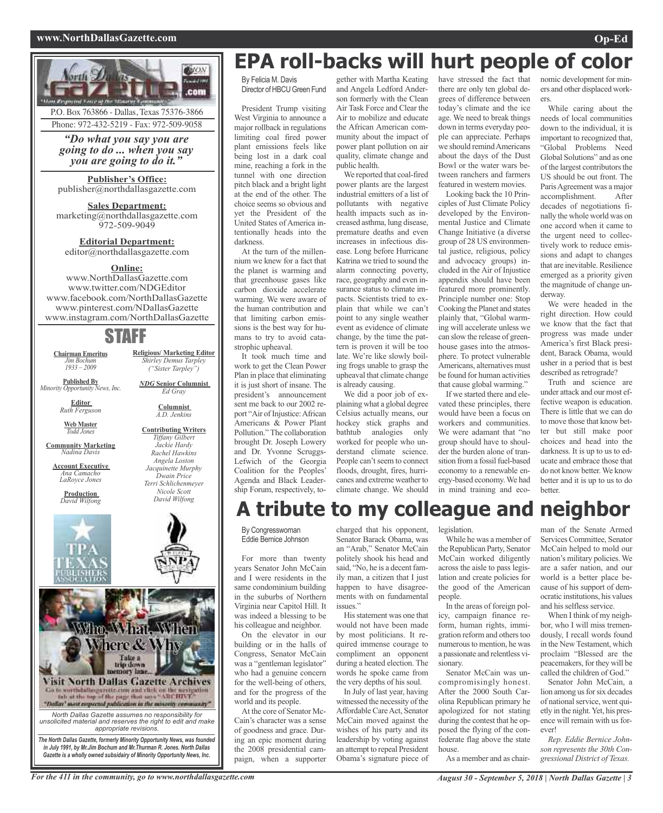#### **www.NorthDallasGazette.com Op-Ed**



# **EPA roll-backs will hurt people of color**

By Felicia M. Davis Director of HBCU Green Fund

President Trump visiting West Virginia to announce a major rollback in regulations limiting coal fired power plant emissions feels like being lost in a dark coal mine, reaching a fork in the tunnel with one direction pitch black and a bright light at the end of the other. The choice seems so obvious and yet the President of the United States of America intentionally heads into the darkness.

At the turn of the millennium we knew for a fact that the planet is warming and that greenhouse gases like carbon dioxide accelerate warming. We were aware of the human contribution and that limiting carbon emissions is the best way for humans to try to avoid catastrophic upheaval.

It took much time and work to get the Clean Power Plan in place that eliminating it is just short of insane. The president's announcement sent me back to our 2002 report "Air of Injustice: African Americans & Power Plant Pollution." The collaboration brought Dr. Joseph Lowery and Dr. Yvonne Scruggs-Lefwich of the Georgia Coalition for the Peoples' Agenda and Black Leadership Forum, respectively, to-

gether with Martha Keating and Angela Ledford Anderson formerly with the Clean Air Task Force and Clear the Air to mobilize and educate the African American community about the impact of power plant pollution on air quality, climate change and public health.

We reported that coal-fired power plants are the largest industrial emitters of a list of pollutants with negative health impacts such as increased asthma, lung disease, premature deaths and even increases in infectious disease. Long before Hurricane Katrina we tried to sound the alarm connecting poverty, race, geography and even insurance status to climate impacts. Scientists tried to explain that while we can't point to any single weather event as evidence of climate change, by the time the pattern is proven it will be too late. We're like slowly boiling frogs unable to grasp the upheaval that climate change is already causing.

We did a poor job of explaining what a global degree Celsius actually means, our hockey stick graphs and bathtub analogies only worked for people who understand climate science. People can't seem to connect floods, drought, fires, hurricanes and extreme weather to climate change. We should have stressed the fact that there are only ten global degrees of difference between today's climate and the ice age. We need to break things down in terms everyday people can appreciate. Perhaps we should remind Americans about the days of the Dust Bowl or the water wars between ranchers and farmers featured in western movies.

Looking back the 10 Principles of Just Climate Policy developed by the Environmental Justice and Climate Change Initiative (a diverse group of 28 US environmental justice, religious, policy and advocacy groups) included in the Air of Injustice appendix should have been featured more prominently. Principle number one: Stop Cooking the Planet and states plainly that, "Global warming will accelerate unless we can slow the release of greenhouse gases into the atmosphere. To protect vulnerable Americans, alternatives must be found for human activities that cause global warming."

If we started there and elevated these principles, there would have been a focus on workers and communities. We were adamant that "no group should have to shoulder the burden alone of transition from a fossil fuel-based economy to a renewable energy-based economy.We had in mind training and economic development for miners and other displaced workers.

While caring about the needs of local communities down to the individual, it is important to recognized that, "Global Problems Need Global Solutions" and as one of the largest contributors the US should be out front. The ParisAgreement was a major accomplishment. After decades of negotiations finally the whole world was on one accord when it came to the urgent need to collectively work to reduce emissions and adapt to changes that are inevitable. Resilience emerged as a priority given the magnitude of change underway.

We were headed in the right direction. How could we know that the fact that progress was made under America's first Black president, Barack Obama, would usher in a period that is best described as retrograde?

Truth and science are under attack and our most effective weapon is education. There is little that we can do to move those that know better but still make poor choices and head into the darkness. It is up to us to educate and embrace those that do not know better.We know better and it is up to us to do better.

## **A tribute to my colleague and neighbor**

#### By Congresswoman Eddie Bernice Johnson

For more than twenty years Senator John McCain and I were residents in the same condominium building in the suburbs of Northern Virginia near Capitol Hill. It was indeed a blessing to be his colleague and neighbor.

On the elevator in our building or in the halls of Congress, Senator McCain was a "gentleman legislator" who had a genuine concern for the well-being of others, and for the progress of the world and its people.

At the core of Senator Mc-Cain's character was a sense of goodness and grace. During an epic moment during the 2008 presidential campaign, when a supporter

charged that his opponent, Senator Barack Obama, was an "Arab," Senator McCain politely shook his head and said, "No, he is a decent family man, a citizen that I just happen to have disagreements with on fundamental issues."

Hisstatement was one that would not have been made by most politicians. It required immense courage to compliment an opponent during a heated election. The words he spoke came from the very depths of his soul.

In July of last year, having witnessed the necessity of the Affordable CareAct, Senator McCain moved against the wishes of his party and its leadership by voting against an attempt to repeal President Obama's signature piece of

legislation.

While he was a member of the Republican Party, Senator McCain worked diligently across the aisle to pass legislation and create policies for the good of the American people.

In the areas of foreign policy, campaign finance reform, human rights, immigration reform and others too numerous to mention, he was a passionate and relentless visionary.

Senator McCain was uncompromisingly honest. After the 2000 South Carolina Republican primary he apologized for not stating during the contest that he opposed the flying of the confederate flag above the state house.

As a member and as chair-

man of the Senate Armed Services Committee, Senator McCain helped to mold our nation's military policies.We are a safer nation, and our world is a better place because of his support of democratic institutions, his values and his selfless service.

When I think of my neighbor, who I will miss tremendously, I recall words found in the New Testament, which proclaim "Blessed are the peacemakers, for they will be called the children of God."

Senator John McCain, a lion among us for six decades of national service, went quietly in the night.Yet, his presence will remain with us forever!

*Rep. Eddie Bernice Johnson represents the 30th Congressional District of Texas.*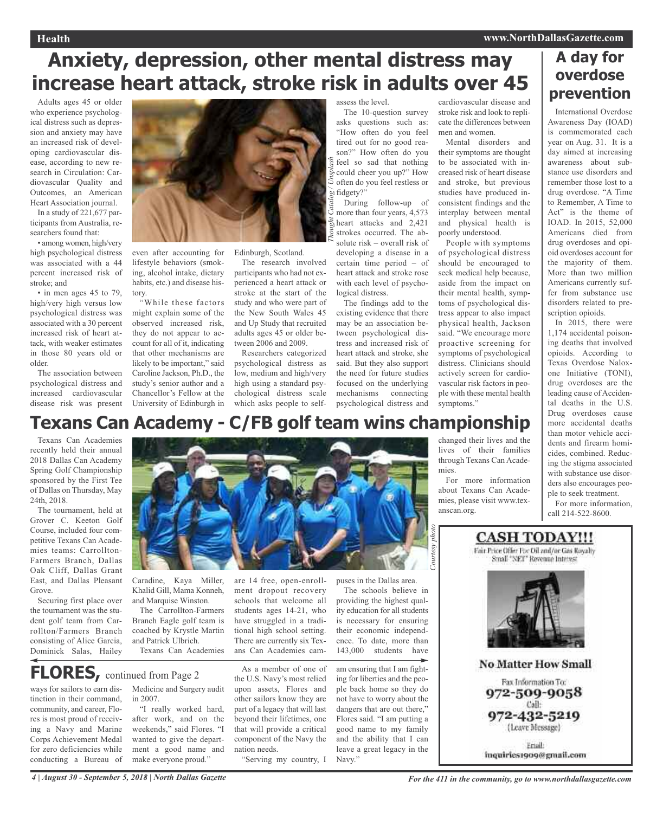# **Anxiety, depression, other mental distress may increase heart attack, stroke risk in adults over 45**

Adults ages 45 or older who experience psychological distress such as depression and anxiety may have an increased risk of developing cardiovascular disease, according to new research in Circulation: Cardiovascular Quality and Outcomes, an American Heart Association journal.

In a study of 221,677 participants from Australia, researchers found that:

• among women, high/very high psychological distress was associated with a 44 percent increased risk of stroke; and

• in men ages 45 to 79, high/very high versus low psychological distress was associated with a 30 percent increased risk of heart attack, with weaker estimates in those 80 years old or older.

The association between psychological distress and increased cardiovascular disease risk was present



even after accounting for lifestyle behaviors (smoking, alcohol intake, dietary habits, etc.) and disease history.

"While these factors might explain some of the observed increased risk, they do not appear to account for all of it, indicating that other mechanisms are likely to be important," said Caroline Jackson, Ph.D., the study's senior author and a Chancellor's Fellow at the University of Edinburgh in Edinburgh, Scotland.

The research involved participants who had not experienced a heart attack or stroke at the start of the study and who were part of the New South Wales 45 and Up Study that recruited adults ages 45 or older between 2006 and 2009.

Researchers categorized psychological distress as low, medium and high/very high using a standard psychological distress scale which asks people to selfassess the level.

The 10-question survey asks questions such as: "How often do you feel tired out for no good reason?" How often do you feel so sad that nothing could cheer you up?" How often do you feel restless or ofidgety?"

*Thought Catalog / Unsplash* During follow-up of more than four years, 4,573 heart attacks and 2,421 strokes occurred. The absolute risk – overall risk of developing a disease in a certain time period – of heart attack and stroke rose with each level of psychological distress.

The findings add to the existing evidence that there may be an association between psychological distress and increased risk of heart attack and stroke, she said. But they also support the need for future studies focused on the underlying mechanisms connecting psychological distress and cardiovascular disease and stroke risk and look to replicate the differences between men and women.

Mental disorders and their symptoms are thought to be associated with increased risk of heart disease and stroke, but previous studies have produced inconsistent findings and the interplay between mental and physical health is poorly understood.

People with symptoms of psychological distress should be encouraged to seek medical help because, aside from the impact on their mental health, symptoms of psychological distress appear to also impact physical health, Jackson said. "We encourage more proactive screening for symptoms of psychological distress. Clinicians should actively screen for cardiovascular risk factors in people with these mental health symptoms."

## **A day for overdose prevention**

International Overdose

Awareness Day (IOAD) is commemorated each year on Aug. 31. It is a day aimed at increasing awareness about substance use disorders and remember those lost to a drug overdose. "A Time to Remember, A Time to Act" is the theme of IOAD. In 2015, 52,000 Americans died from drug overdoses and opioid overdoses account for the majority of them. More than two million Americans currently suffer from substance use disorders related to prescription opioids.

In 2015, there were 1,174 accidental poisoning deaths that involved opioids. According to Texas Overdose Naloxone Initiative (TONI), drug overdoses are the leading cause of Accidental deaths in the U.S. Drug overdoses cause more accidental deaths than motor vehicle accidents and firearm homicides, combined. Reducing the stigma associated with substance use disorders also encourages people to seek treatment.

For more information, call 214-522-8600.

# **Texans Can Academy - C/FB golf team wins championship**

Texans Can Academies recently held their annual 2018 Dallas Can Academy Spring Golf Championship sponsored by the First Tee of Dallas on Thursday, May 24th, 2018.

The tournament, held at Grover C. Keeton Golf Course, included four competitive Texans Can Academies teams: Carrollton-Farmers Branch, Dallas Oak Cliff, Dallas Grant East, and Dallas Pleasant Grove.

Securing first place over the tournament was the student golf team from Carrollton/Farmers Branch consisting of Alice Garcia, Dominick Salas, Hailey



Caradine, Kaya Miller, Khalid Gill, Mama Konneh, and Marquise Winston.

The Carrollton-Farmers Branch Eagle golf team is coached by Krystle Martin and Patrick Ulbrich. Texans Can Academies

are 14 free, open-enrollment dropout recovery schools that welcome all students ages 14-21, who have struggled in a traditional high school setting. There are currently six Texans Can Academies cam-

**FLORES,** continued from Page <sup>2</sup>

ways for sailors to earn distinction in their command, community, and career, Flores is most proud of receiving a Navy and Marine Corps Achievement Medal for zero deficiencies while conducting a Bureau of

Medicine and Surgery audit in 2007.

"I really worked hard, after work, and on the weekends," said Flores. "I wanted to give the department a good name and make everyone proud."

As a member of one of the U.S. Navy's most relied upon assets, Flores and other sailors know they are part of a legacy that will last beyond their lifetimes, one that will provide a critical component of the Navy the nation needs.

"Serving my country, I

puses in the Dallas area.

The schools believe in providing the highest quality education for all students is necessary for ensuring their economic independence. To date, more than 143,000 students have

am ensuring that I am fighting for liberties and the people back home so they do not have to worry about the dangers that are out there," Flores said. "I am putting a good name to my family and the ability that I can leave a great legacy in the Navy."

through Texans Can Academies. For more information

changed their lives and the lives of their families

about Texans Can Academies, please visit www.texanscan.org.



**CASH TODAY!!!** Fair Price Offer Foc Oil and/or Gas Royalty

Call: 972-432-5219 (Leave Message)

Eriail: inquiries1909@gmail.com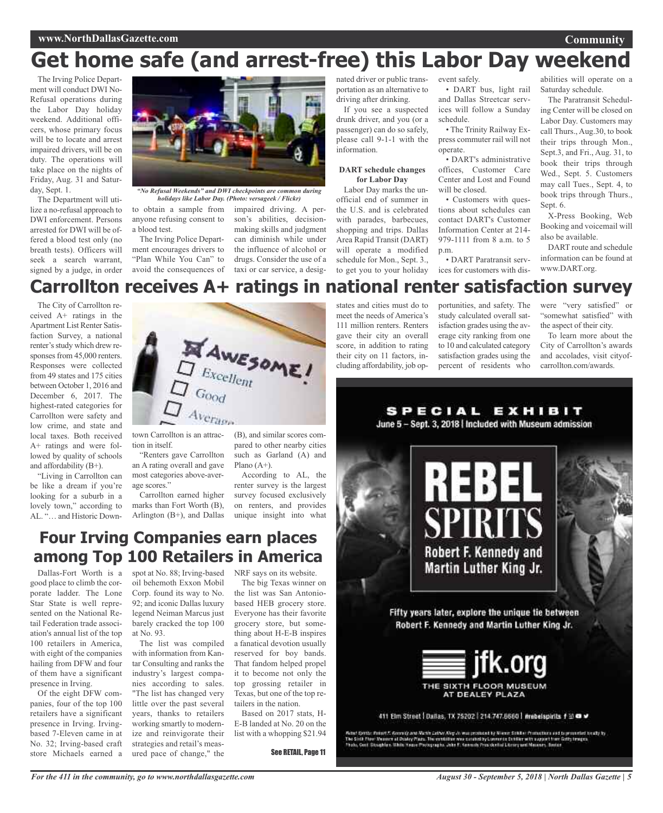# **Get home safe (and arrest-free) this Labor Day weekend**

The Irving Police Department will conduct DWI No-Refusal operations during the Labor Day holiday weekend. Additional officers, whose primary focus will be to locate and arrest impaired drivers, will be on duty. The operations will take place on the nights of Friday, Aug. 31 and Saturday, Sept. 1.

The Department will utilize a no-refusal approach to DWI enforcement. Persons arrested for DWI will be offered a blood test only (no breath tests). Officers will seek a search warrant, signed by a judge, in order



*"No Refusal Weekends" and DWI checkpoints are common during holidays like Labor Day. (Photo: versageek / Flickr)*

anyone refusing consent to a blood test.

The Irving Police Department encourages drivers to "Plan While You Can" to avoid the consequences of

to obtain a sample from impaired driving. A person's abilities, decisionmaking skills and judgment can diminish while under the influence of alcohol or drugs. Consider the use of a taxi or car service, a designated driver or public transportation as an alternative to driving after drinking.

If you see a suspected drunk driver, and you (or a passenger) can do so safely, please call 9-1-1 with the information.

#### **DART schedule changes for Labor Day**

Labor Day marks the unofficial end of summer in the U.S. and is celebrated with parades, barbecues, shopping and trips. Dallas Area Rapid Transit (DART) will operate a modified schedule for Mon., Sept. 3., to get you to your holiday

event safely.

• DART bus, light rail and Dallas Streetcar services will follow a Sunday schedule.

• The Trinity Railway Express commuter rail will not operate.

• DART's administrative offices, Customer Care Center and Lost and Found will be closed.

• Customers with questions about schedules can contact DART's Customer Information Center at 214- 979-1111 from 8 a.m. to 5 p.m.

• DART Paratransit services for customers with dis-

abilities will operate on a Saturday schedule.

**Community**

The Paratransit Scheduling Center will be closed on Labor Day. Customers may call Thurs., Aug.30, to book their trips through Mon., Sept.3, and Fri., Aug. 31, to book their trips through Wed., Sept. 5. Customers may call Tues., Sept. 4, to book trips through Thurs., Sept. 6.

X-Press Booking, Web Booking and voicemail will also be available.

DART route and schedule information can be found at www.DART.org.

## **Carrollton receives A+ ratings in national renter satisfaction survey**

The City of Carrollton received A+ ratings in the Apartment List Renter Satisfaction Survey, a national renter's study which drew responses from 45,000 renters. Responses were collected from 49 states and 175 cities between October 1, 2016 and December 6, 2017. The highest-rated categories for Carrollton were safety and low crime, and state and local taxes. Both received A+ ratings and were followed by quality of schools and affordability (B+).

"Living in Carrollton can be like a dream if you're looking for a suburb in a lovely town," according to AL. "… and Historic Down-



town Carrollton is an attraction in itself.

"Renters gave Carrollton an A rating overall and gave most categories above-average scores."

Carrollton earned higher marks than Fort Worth (B), Arlington  $(B<sup>+</sup>)$ , and Dallas (B), and similar scores compared to other nearby cities such as Garland (A) and Plano (A+).

According to AL, the renter survey is the largest survey focused exclusively on renters, and provides unique insight into what

## **Four Irving Companies earn places among Top 100 Retailers in America**

Dallas-Fort Worth is a good place to climb the corporate ladder. The Lone Star State is well represented on the National Retail Federation trade association's annual list of the top 100 retailers in America, with eight of the companies hailing from DFW and four of them have a significant presence in Irving.

Of the eight DFW companies, four of the top 100 retailers have a significant presence in Irving. Irvingbased 7-Eleven came in at No. 32; Irving-based craft store Michaels earned a

spot at No. 88; Irving-based oil behemoth Exxon Mobil Corp. found its way to No. 92; and iconic Dallas luxury legend Neiman Marcus just barely cracked the top 100 at No. 93.

The list was compiled with information from Kantar Consulting and ranks the industry's largest companies according to sales. "The list has changed very little over the past several years, thanks to retailers working smartly to modernize and reinvigorate their strategies and retail's measured pace of change," the

NRF says on its website.

The big Texas winner on the list was San Antoniobased HEB grocery store. Everyone has their favorite grocery store, but something about H-E-B inspires a fanatical devotion usually reserved for boy bands. That fandom helped propel it to become not only the top grossing retailer in Texas, but one of the top retailers in the nation.

Based on 2017 stats, H-E-B landed at No. 20 on the list with a whopping \$21.94

See RETAIL, Page 11

states and cities must do to meet the needs of America's 111 million renters. Renters gave their city an overall score, in addition to rating their city on 11 factors, including affordability, job op-

portunities, and safety. The study calculated overall satisfaction grades using the average city ranking from one to 10 and calculated category satisfaction grades using the percent of residents who

were "very satisfied" or "somewhat satisfied" with the aspect of their city.

To learn more about the City of Carrollton's awards and accolades, visit cityofcarrollton.com/awards.

## SPECIAL EXHIBIT June 5 - Sept. 3, 2018 | Included with Museum admission



Fifty years later, explore the unique tie between Robert F. Kennedy and Martin Luther King Jr.



411 Elm Street | Dallas, TX 75202 | 214.747.6660 | #rebelspirits f to @ #

Basel Santic Beinet F. Georgiy and Michie Lebar, Nep Av Hus promood by Wener Soldier Promotions and to promotiol beatly by<br>The Sixth Place Museum at Dealey Plaza. The earthfule was curated by Lonneste Schiller with august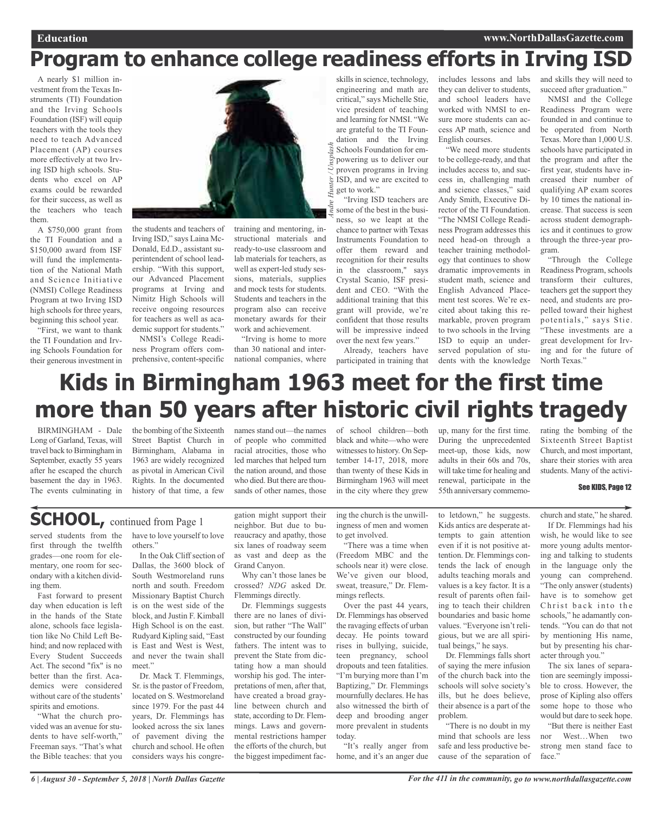# **Program to enhance college readiness efforts in Irving ISD**

iash

A nearly \$1 million investment from the Texas Instruments (TI) Foundation and the Irving Schools Foundation (ISF) will equip teachers with the tools they need to teach Advanced Placement (AP) courses more effectively at two Irving ISD high schools. Students who excel on AP exams could be rewarded for their success, as well as the teachers who teach them.

A \$750,000 grant from the TI Foundation and a \$150,000 award from ISF will fund the implementation of the National Math and Science Initiative (NMSI) College Readiness Program at two Irving ISD high schools for three years, beginning this school year.

"First, we want to thank the TI Foundation and Irving Schools Foundation for their generous investment in



the students and teachers of Irving ISD," says Laina Mc-Donald, Ed.D., assistant superintendent of school leadership. "With this support, our Advanced Placement programs at Irving and Nimitz High Schools will receive ongoing resources for teachers as well as academic support for students." NMSI's College Readi-

ness Program offers comprehensive, content-specific training and mentoring, instructional materials and ready-to-use classroom and lab materials for teachers, as well as expert-led study sessions, materials, supplies and mock tests for students. Students and teachers in the program also can receive monetary awards for their work and achievement. "Irving is home to more

than 30 national and international companies, where

skills in science, technology, engineering and math are critical," says Michelle Stie, vice president of teaching and learning for NMSI. "We are grateful to the TI Foundation and the Irving Schools Foundation for empowering us to deliver our

*Andre Hunter / Unsplash* proven programs in Irving ISD, and we are excited to get to work." "Irving ISD teachers are

some of the best in the business, so we leapt at the chance to partner with Texas Instruments Foundation to offer them reward and recognition for their results in the classroom," says Crystal Scanio, ISF president and CEO. "With the additional training that this grant will provide, we're confident that those results will be impressive indeed over the next few years."

Already, teachers have participated in training that includes lessons and labs they can deliver to students, and school leaders have worked with NMSI to ensure more students can access AP math, science and English courses.

"We need more students to be college-ready, and that includes access to, and success in, challenging math and science classes," said Andy Smith, Executive Director of the TI Foundation. "The NMSI College Readiness Program addresses this need head-on through a teacher training methodology that continues to show dramatic improvements in student math, science and English Advanced Placement test scores. We're excited about taking this remarkable, proven program to two schools in the Irving ISD to equip an underserved population of students with the knowledge and skills they will need to succeed after graduation."

NMSI and the College Readiness Program were founded in and continue to be operated from North Texas. More than 1,000 U.S. schools have participated in the program and after the first year, students have increased their number of qualifying AP exam scores by 10 times the national increase. That success is seen across student demographics and it continues to grow through the three-year program.

"Through the College Readiness Program, schools transform their cultures, teachers get the support they need, and students are propelled toward their highest potentials," says Stie. "These investments are a great development for Irving and for the future of North Texas."

# **Kids in Birmingham 1963 meet for the first time more than 50 years after historic civil rights tragedy**

BIRMINGHAM - Dale Long of Garland, Texas, will travel back to Birmingham in September, exactly 55 years after he escaped the church basement the day in 1963. The events culminating in

Street Baptist Church in Birmingham, Alabama in 1963 are widely recognized as pivotal in American Civil Rights. In the documented history of that time, a few

the bombing of the Sixteenth names stand out—the names of people who committed racial atrocities, those who led marches that helped turn the nation around, and those who died. But there are thousands of other names, those

black and white—who were witnesses to history. On September 14-17, 2018, more than twenty of these Kids in Birmingham 1963 will meet in the city where they grew

of school children—both

up, many for the first time. During the unprecedented meet-up, those kids, now adults in their 60s and 70s, will take time for healing and renewal, participate in the 55th anniversary commemo-

rating the bombing of the Sixteenth Street Baptist Church, and most important, share their stories with area students. Many of the activi-

#### See KIDS, Page 12

church and state," he shared.

If Dr. Flemmings had his wish, he would like to see more young adults mentoring and talking to students in the language only the young can comprehend. "The only answer (students) have is to somehow get Christ back into the schools," he adamantly contends. "You can do that not by mentioning His name, but by presenting his character through you."

The six lanes of separation are seemingly impossible to cross. However, the prose of Kipling also offers some hope to those who would but dare to seek hope.

"But there is neither East nor West…When two strong men stand face to face."

served students from the have to love yourself to love **SCHOOL,** continued from Page <sup>1</sup>

first through the twelfth grades—one room for elementary, one room for secondary with a kitchen dividing them.

Fast forward to present day when education is left in the hands of the State alone, schools face legislation like No Child Left Behind; and now replaced with Every Student Succeeds Act. The second "fix" is no better than the first. Academics were considered without care of the students' spirits and emotions.

"What the church provided was an avenue for students to have self-worth," Freeman says. "That's what the Bible teaches: that you

others."

In the Oak Cliff section of Dallas, the 3600 block of South Westmoreland runs north and south. Freedom Missionary Baptist Church is on the west side of the block, and Justin F. Kimball High School is on the east. Rudyard Kipling said, "East is East and West is West, and never the twain shall meet."

Dr. Mack T. Flemmings, Sr. is the pastor of Freedom, located on S. Westmoreland since 1979. For the past 44 years, Dr. Flemmings has looked across the six lanes of pavement diving the church and school. He often considers ways his congre-

gation might support their neighbor. But due to bureaucracy and apathy, those six lanes of roadway seem as vast and deep as the Grand Canyon.

Why can't those lanes be crossed? *NDG* asked Dr. Flemmings directly.

Dr. Flemmings suggests there are no lanes of division, but rather "The Wall" constructed by our founding fathers. The intent was to prevent the State from dictating how a man should worship his god. The interpretations of men, after that, have created a broad grayline between church and state, according to Dr. Flemmings. Laws and governmental restrictions hamper the efforts of the church, but the biggest impediment facing the church is the unwillingness of men and women to get involved.

"There was a time when (Freedom MBC and the schools near it) were close. We've given our blood, sweat, treasure," Dr. Flemmings reflects.

Over the past 44 years, Dr. Flemmings has observed the ravaging effects of urban decay. He points toward rises in bullying, suicide, teen pregnancy, school dropouts and teen fatalities. "I'm burying more than I'm Baptizing," Dr. Flemmings mournfully declares. He has also witnessed the birth of deep and brooding anger more prevalent in students today.

"It's really anger from home, and it's an anger due to letdown," he suggests. Kids antics are desperate attempts to gain attention even if it is not positive attention. Dr. Flemmings contends the lack of enough adults teaching morals and values is a key factor. It is a result of parents often failing to teach their children boundaries and basic home values. "Everyone isn't religious, but we are all spiritual beings," he says.

Dr. Flemmings falls short of saying the mere infusion of the church back into the schools will solve society's ills, but he does believe, their absence is a part of the problem.

"There is no doubt in my mind that schools are less safe and less productive because of the separation of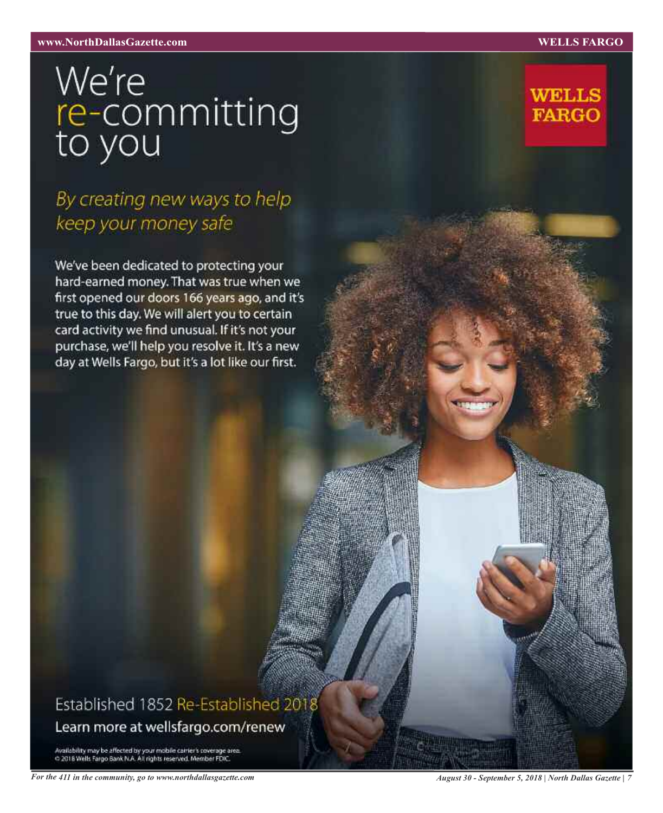**WELLS** 

**FARGO** 

# We're<br>re-committing<br>to you

## By creating new ways to help keep your money safe

We've been dedicated to protecting your hard-earned money. That was true when we first opened our doors 166 years ago, and it's true to this day. We will alert you to certain card activity we find unusual. If it's not your purchase, we'll help you resolve it. It's a new day at Wells Fargo, but it's a lot like our first.

## Established 1852 Re-Established 2018 Learn more at wellsfargo.com/renew

Availability may be affected by your mobile carrier's coverage area.<br>© 2018 Wells Fargo Bank N.A. All rights reserved. Member FDIC.

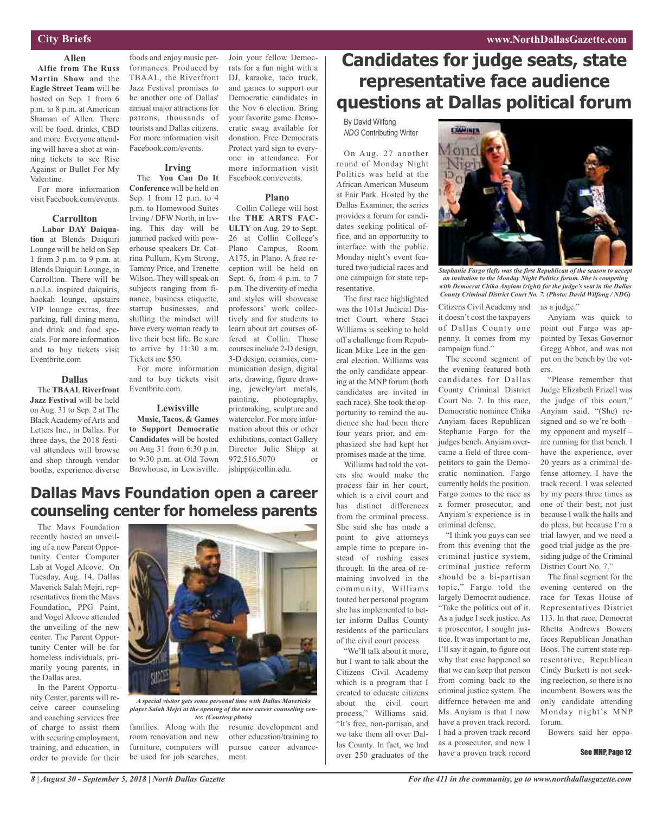## **www.NorthDallasGazette.com**

## **City Briefs**

**Allen**

**Alfie from The Russ Martin Show** and the **Eagle Street Team** will be hosted on Sep. 1 from 6 p.m. to 8 p.m. at American Shaman of Allen. There will be food, drinks, CBD and more. Everyone attending will have a shot at winning tickets to see Rise Against or Bullet For My Valentine.

For more information visit Facebook.com/events.

## **Carrollton**

**Labor DAY Daiquation** at Blends Daiquiri Lounge will be held on Sep 1 from 3 p.m. to 9 p.m. at Blends Daiquiri Lounge, in Carrollton. There will be n.o.l.a. inspired daiquiris, hookah lounge, upstairs VIP lounge extras, free parking, full dining menu, and drink and food specials. For more information and to buy tickets visit Eventbrite.com

## **Dallas**

The **TBAAL Riverfront Jazz Festival** will be held on Aug. 31 to Sep. 2 at The BlackAcademy ofArts and Letters Inc., in Dallas. For three days, the 2018 festival attendees will browse and shop through vendor booths, experience diverse

foods and enjoy music performances. Produced by TBAAL, the Riverfront Jazz Festival promises to be another one of Dallas' annual major attractions for patrons, thousands of tourists and Dallas citizens. For more information visit Facebook.com/events.

## **Irving**

The **You Can Do It Conference** will be held on Sep. 1 from 12 p.m. to 4 p.m. to Homewood Suites Irving / DFW North, in Irving. This day will be jammed packed with powerhouse speakers Dr. Catrina Pullum, Kym Strong, Tammy Price, and Trenette Wilson. They will speak on subjects ranging from finance, business etiquette, startup businesses, and shifting the mindset will have every woman ready to live their best life. Be sure to arrive by 11:30 a.m. Tickets are \$50.

For more information and to buy tickets visit Eventbrite.com.

#### **Lewisville**

**Music, Tacos, & Games to Support Democratic Candidates** will be hosted on Aug 31 from 6:30 p.m. to 9:30 p.m. at Old Town Brewhouse, in Lewisville. Join your fellow Democrats for a fun night with a DJ, karaoke, taco truck, and games to support our Democratic candidates in the Nov 6 election. Bring your favorite game. Democratic swag available for donation. Free Democrats Protect yard sign to everyone in attendance. For more information visit Facebook.com/events.

#### **Plano**

Collin College will host the **THE ARTS FAC-ULTY** on Aug. 29 to Sept. 26 at Collin College's Plano Campus, Room A175, in Plano. A free reception will be held on Sept. 6, from 4 p.m. to 7 p.m. The diversity of media and styles will showcase professors' work collectively and for students to learn about art courses offered at Collin. Those courses include 2-D design, 3-D design, ceramics, communication design, digital arts, drawing, figure drawing, jewelry/art metals, painting, photography, printmaking, sculpture and watercolor. For more information about this or other exhibitions, contact Gallery Director Julie Shipp at 972.516.5070 or jshipp@collin.edu.

## **Dallas Mavs Foundation open a career counseling center for homeless parents**

The Mavs Foundation recently hosted an unveiling of a new Parent Opportunity Center Computer Lab at Vogel Alcove. On Tuesday, Aug. 14, Dallas Maverick Salah Mejri, representatives from the Mavs Foundation, PPG Paint, and Vogel Alcove attended the unveiling of the new center. The Parent Opportunity Center will be for homeless individuals, primarily young parents, in the Dallas area.

In the Parent Opportunity Center, parents will receive career counseling and coaching services free of charge to assist them with securing employment, training, and education, in order to provide for their



*A special visitor gets some personal time with Dallas Mavericks player Salah Mejri at the opening of the new career counseling center. (Courtesy photo)*

families. Along with the room renovation and new furniture, computers will be used for job searches,

ment. See MNP, Page 12<br>
over 250 graduates of the have a proven track record See MNP, Page 12 resume development and other education/training to pursue career advance-

## **Candidates for judge seats, state representative face audience questions at Dallas political forum**

By David Wilfong *NDG* Contributing Writer

On Aug. 27 another round of Monday Night Politics was held at the African American Museum at Fair Park. Hosted by the Dallas Examiner, the series provides a forum for candidates seeking political office, and an opportunity to interface with the public. Monday night's event featured two judicial races and one campaign for state representative.

The first race highlighted was the 101st Judicial District Court, where Staci Williams is seeking to hold off a challenge from Republican Mike Lee in the general election. Williams was the only candidate appearing at the MNP forum (both candidates are invited in each race). She took the opportunity to remind the audience she had been there four years prior, and emphasized she had kept her promises made at the time. Williams had told the vot-

ers she would make the process fair in her court, which is a civil court and has distinct differences from the criminal process. She said she has made a point to give attorneys ample time to prepare instead of rushing cases through. In the area of remaining involved in the community, Williams touted her personal program she has implemented to better inform Dallas County residents of the particulars of the civil court process.

"We'll talk about it more, but I want to talk about the Citizens Civil Academy which is a program that I created to educate citizens about the civil court process," Williams said. "It's free, non-partisan, and we take them all over Dallas County. In fact, we had



 $Stephanie$  *Fargo* (left) was the first Republican of the season to acception *an invitation to the Monday Night Politics forum. She is competing with Democrat Chika Anyiam (right) for the judge's seat in the Dallas County Criminal District Court No. 7. (Photo: David Wilfong / NDG)*

Citizens Civil Academy and it doesn't cost the taxpayers of Dallas County one penny. It comes from my campaign fund."

The second segment of the evening featured both candidates for Dallas County Criminal District Court No. 7. In this race, Democratic nominee Chika Anyiam faces Republican Stephanie Fargo for the judges bench. Anyiam overcame a field of three competitors to gain the Democratic nomination. Fargo currently holds the position. Fargo comes to the race as a former prosecutor, and Anyiam's experience is in criminal defense.

"I think you guys can see from this evening that the criminal justice system, criminal justice reform should be a bi-partisan topic," Fargo told the largely Democrat audience. "Take the politics out of it. As a judge I seek justice. As a prosecutor, I sought justice. It was important to me, I'll say it again, to figure out why that case happened so that we can keep that person from coming back to the criminal justice system. The differnce between me and Ms. Anyiam is that I now have a proven track record. I had a proven track record as a prosecutor, and now I have a proven track record

as a judge."

Anyiam was quick to point out Fargo was appointed by Texas Governor Gregg Abbot, and was not put on the bench by the voters

"Please remember that Judge Elizabeth Frizell was the judge of this court," Anyiam said. "(She) resigned and so we're both – my opponent and myself – are running for that bench. I have the experience, over 20 years as a criminal defense attorney. I have the track record. I was selected by my peers three times as one of their best; not just because I walk the halls and do pleas, but because I'm a trial lawyer, and we need a good trial judge as the presiding judge of the Criminal District Court No. 7."

The final segment for the evening centered on the race for Texas House of Representatives District 113. In that race, Democrat Rhetta Andrews Bowers faces Republican Jonathan Boos. The current state representative, Republican Cindy Burkett is not seeking reelection, so there is no incumbent. Bowers was the only candidate attending Monday night's MNP forum.

Bowers said her oppo-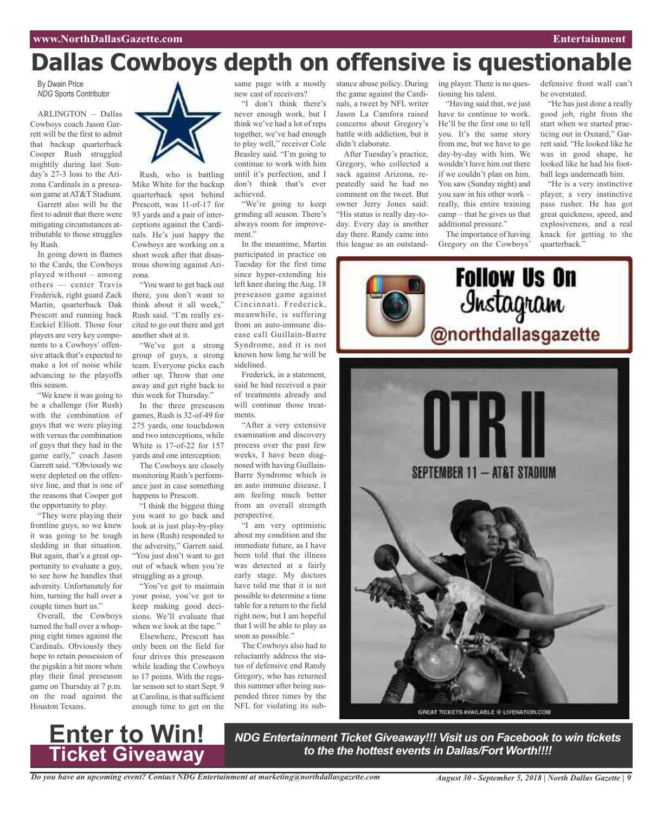# **Dallas Cowboys depth on offensive is questionable**

By Dwain Price *NDG* Sports Contributor

ARLINGTON – Dallas Cowboys coach Jason Garrett will be the first to admit that backup quarterback Cooper Rush struggled mightily during last Sunday's 27-3 loss to the Arizona Cardinals in a preseason game at AT&T Stadium.

Garrett also will be the first to admit that there were mitigating circumstances attributable to those struggles by Rush.

In going down in flames to the Cards, the Cowboys played without – among others — center Travis Frederick, right guard Zack Martin, quarterback Dak Prescott and running back Ezekiel Elliott. Those four players are very key components to a Cowboys' offensive attack that's expected to make a lot of noise while advancing to the playoffs this season.

"We knew it was going to be a challenge (for Rush) with the combination of guys that we were playing with versus the combination of guys that they had in the game early," coach Jason Garrett said. "Obviously we were depleted on the offensive line, and that is one of the reasons that Cooper got the opportunity to play.

"They were playing their frontline guys, so we knew it was going to be tough sledding in that situation. But again, that's a great opportunity to evaluate a guy, to see how he handles that adversity. Unfortunately for him, turning the ball over a couple times hurt us."

Overall, the Cowboys turned the ball over a whopping eight times against the Cardinals. Obviously they hope to retain possession of the pigskin a bit more when play their final preseason game on Thursday at 7 p.m. on the road against the Houston Texans.



Rush, who is battling Mike White for the backup quarterback spot behind Prescott, was 11-of-17 for 93 yards and a pair of interceptions against the Cardinals. He's just happy the Cowboys are working on a short week after that disastrous showing against Arizona.

"You want to get back out there, you don't want to think about it all week," Rush said. "I'm really excited to go out there and get another shot at it.

"We've got a strong group of guys, a strong team. Everyone picks each other up. Throw that one away and get right back to this week for Thursday."

In the three preseason games, Rush is 32-of-49 for 275 yards, one touchdown and two interceptions, while White is 17-of-22 for 157 yards and one interception.

The Cowboys are closely monitoring Rush's performance just in case something happens to Prescott.

"I think the biggest thing you want to go back and look at is just play-by-play in how (Rush) responded to the adversity," Garrett said. "You just don't want to get out of whack when you're struggling as a group.

"You've got to maintain your poise, you've got to keep making good decisions. We'll evaluate that when we look at the tape."

Elsewhere, Prescott has only been on the field for four drives this preseason while leading the Cowboys to 17 points. With the regular season set to start Sept. 9 at Carolina, is that sufficient enough time to get on the same page with a mostly new cast of receivers?

"I don't think there's never enough work, but I think we've had a lot of reps together, we've had enough to play well,'' receiver Cole Beasley said. "I'm going to continue to work with him until it's perfection, and I don't think that's ever achieved.

"We're going to keep grinding all season. There's always room for improvement."

In the meantime, Martin participated in practice on Tuesday for the first time since hyper-extending his left knee during the Aug. 18 preseason game against Cincinnati. Frederick, meanwhile, is suffering from an auto-immune disease call Guillain-Barre Syndrome, and it is not known how long he will be sidelined.

Frederick, in a statement, said he had received a pair of treatments already and will continue those treatments.

"After a very extensive examination and discovery process over the past few weeks, I have been diagnosed with having Guillain-Barre Syndrome which is an auto immune disease. I am feeling much better from an overall strength perspective.

"I am very optimistic about my condition and the immediate future, as I have been told that the illness was detected at a fairly early stage. My doctors have told me that it is not possible to determine a time table for a return to the field right now, but I am hopeful that I will be able to play as soon as possible."

The Cowboys also had to reluctantly address the status of defensive end Randy Gregory, who has returned this summer after being suspended three times by the NFL for violating its substance abuse policy. During the game against the Cardinals, a tweet by NFL writer Jason La Camfora raised concerns about Gregory's battle with addiction, but it didn't elaborate.

After Tuesday's practice, Gregory, who collected a sack against Arizona, repeatedly said he had no comment on the tweet. But owner Jerry Jones said: "His status is really day-today. Every day is another day there. Randy came into this league as an outstand-

ing player. There is no questioning his talent.

"Having said that, we just have to continue to work. He'll be the first one to tell you. It's the same story from me, but we have to go day-by-day with him. We wouldn't have him out there if we couldn't plan on him. You saw (Sunday night) and you saw in his other work – really, this entire training camp – that he gives us that additional pressure."

The importance of having Gregory on the Cowboys'

defensive front wall can't be overstated.

"He has just done a really good job, right from the start when we started practicing out in Oxnard," Garrett said. "He looked like he was in good shape, he looked like he had his football legs underneath him.

"He is a very instinctive player, a very instinctive pass rusher. He has got great quickness, speed, and explosiveness, and a real knack for getting to the quarterback.'



GREAT TICKETS AVAILABLE @ LIVENATION.COM

**Enter to Win! Ticket Giveaway**

*NDG Entertainment Ticket Giveaway!!! Visit us on Facebook to win tickets to the the hottest events in Dallas/Fort Worth!!!!*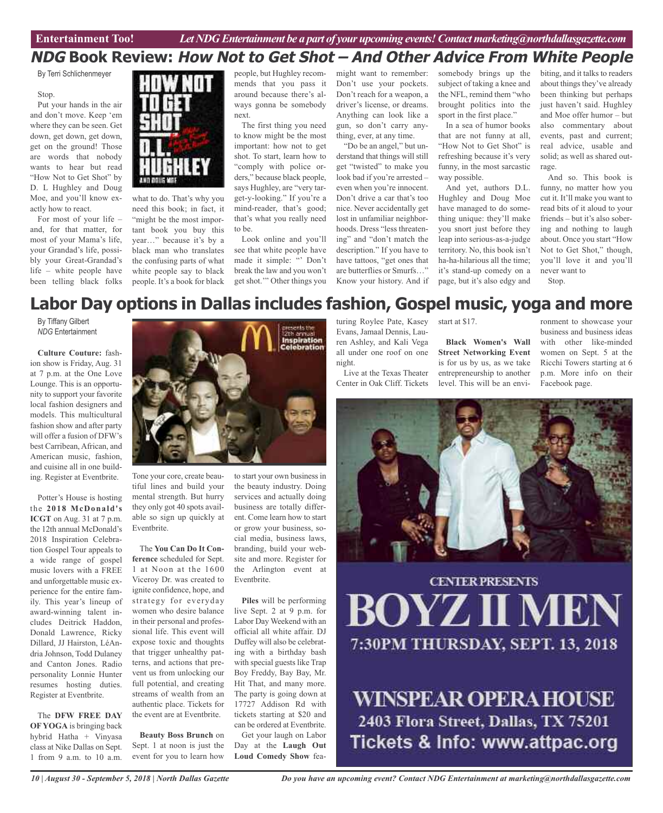## **NDG Book Review: How Not to Get Shot – And Other Advice From White People**

By Terri Schlichenmeyer

#### Stop.

Put your hands in the air and don't move. Keep 'em where they can be seen. Get down, get down, get down, get on the ground! Those are words that nobody wants to hear but read "How Not to Get Shot" by D. L Hughley and Doug Moe, and you'll know exactly how to react.

For most of your life – and, for that matter, for most of your Mama's life, your Grandad's life, possibly your Great-Grandad's life – white people have been telling black folks



what to do. That's why you need this book; in fact, it "might be the most important book you buy this year…" because it's by a black man who translates the confusing parts of what white people say to black people. It's a book for black

people, but Hughley recommends that you pass it around because there's always gonna be somebody next.

The first thing you need to know might be the most important: how not to get shot. To start, learn how to "comply with police orders," because black people, says Hughley, are "very target-y-looking." If you're a mind-reader, that's good; that's what you really need to be.

Look online and you'll see that white people have made it simple: "' Don't break the law and you won't get shot.'" Other things you

might want to remember: Don't use your pockets. Don't reach for a weapon, a driver's license, or dreams. Anything can look like a gun, so don't carry anything, ever, at any time.

"Do be an angel," but understand that things will still get "twisted" to make you look bad if you're arrested – even when you're innocent. Don't drive a car that's too nice. Never accidentally get lost in unfamiliar neighborhoods. Dress "less threatening" and "don't match the description." If you have to have tattoos, "get ones that are butterflies or Smurfs…" Know your history. And if somebody brings up the subject of taking a knee and the NFL, remind them "who brought politics into the sport in the first place."

In a sea of humor books that are not funny at all, "How Not to Get Shot" is refreshing because it's very funny, in the most sarcastic way possible.

And yet, authors D.L. Hughley and Doug Moe have managed to do something unique: they'll make you snort just before they leap into serious-as-a-judge territory. No, this book isn't ha-ha-hilarious all the time; it's stand-up comedy on a page, but it's also edgy and

biting, and it talks to readers about things they've already been thinking but perhaps just haven't said. Hughley and Moe offer humor – but also commentary about events, past and current; real advice, usable and solid; as well as shared outrage.

And so. This book is funny, no matter how you cut it. It'll make you want to read bits of it aloud to your friends – but it's also sobering and nothing to laugh about. Once you start "How Not to Get Shot," though, you'll love it and you'll never want to Stop.

## **Labor Day options in Dallas includes fashion, Gospel music, yoga and more**

By Tiffany Gilbert *NDG* Entertainment

**Culture Couture:** fashion show is Friday, Aug. 31 at 7 p.m. at the One Love Lounge. This is an opportunity to support your favorite local fashion designers and models. This multicultural fashion show and after party will offer a fusion of DFW's best Carribean, African, and American music, fashion, and cuisine all in one building. Register at Eventbrite.

Potter's House is hosting the **2018 McDonald's ICGT** on Aug. 31 at 7 p.m. the 12th annual McDonald's 2018 Inspiration Celebration Gospel Tour appeals to a wide range of gospel music lovers with a FREE and unforgettable music experience for the entire family. This year's lineup of award-winning talent includes Deitrick Haddon, Donald Lawrence, Ricky Dillard, JJ Hairston, LéAndria Johnson, Todd Dulaney and Canton Jones. Radio personality Lonnie Hunter resumes hosting duties. Register at Eventbrite.

The **DFW FREE DAY OFYOGA** is bringing back hybrid Hatha + Vinyasa class at Nike Dallas on Sept. 1 from 9 a.m. to 10 a.m.



Tone your core, create beautiful lines and build your mental strength. But hurry they only got 40 spots available so sign up quickly at Eventbrite.

The **You Can Do It Conference** scheduled for Sept. 1 at Noon at the 1600 Viceroy Dr. was created to ignite confidence, hope, and strategy for everyday women who desire balance in their personal and professional life. This event will expose toxic and thoughts that trigger unhealthy patterns, and actions that prevent us from unlocking our full potential, and creating streams of wealth from an authentic place. Tickets for the event are at Eventbrite.

**Beauty Boss Brunch** on Sept. 1 at noon is just the event for you to learn how

to start your own business in the beauty industry. Doing services and actually doing business are totally different. Come learn how to start or grow your business, social media, business laws, branding, build your website and more. Register for the Arlington event at Eventbrite.

**Piles** will be performing live Sept. 2 at 9 p.m. for Labor Day Weekend with an official all white affair. DJ Duffey will also be celebrating with a birthday bash with special guests like Trap Boy Freddy, Bay Bay, Mr. Hit That, and many more. The party is going down at 17727 Addison Rd with tickets starting at \$20 and can be ordered at Eventbrite.

Get your laugh on Labor Day at the **Laugh Out Loud Comedy Show** fea-

turing Roylee Pate, Kasey start at \$17. Evans, Jamaal Dennis, Lauren Ashley, and Kali Vega all under one roof on one night.

Live at the Texas Theater Center in Oak Cliff. Tickets

**Black Women's Wall Street Networking Event** is for us by us, as we take entrepreneurship to another level. This will be an envi-

ronment to showcase your business and business ideas with other like-minded women on Sept. 5 at the Ricchi Towers starting at 6 p.m. More info on their Facebook page.



**CENTER PRESENTS BOYZ II M** 7:30PM THURSDAY, SEPT. 13, 2018

**WINSPEAR OPERA HOUSE** 2403 Flora Street, Dallas, TX 75201 Tickets & Info: www.attpac.org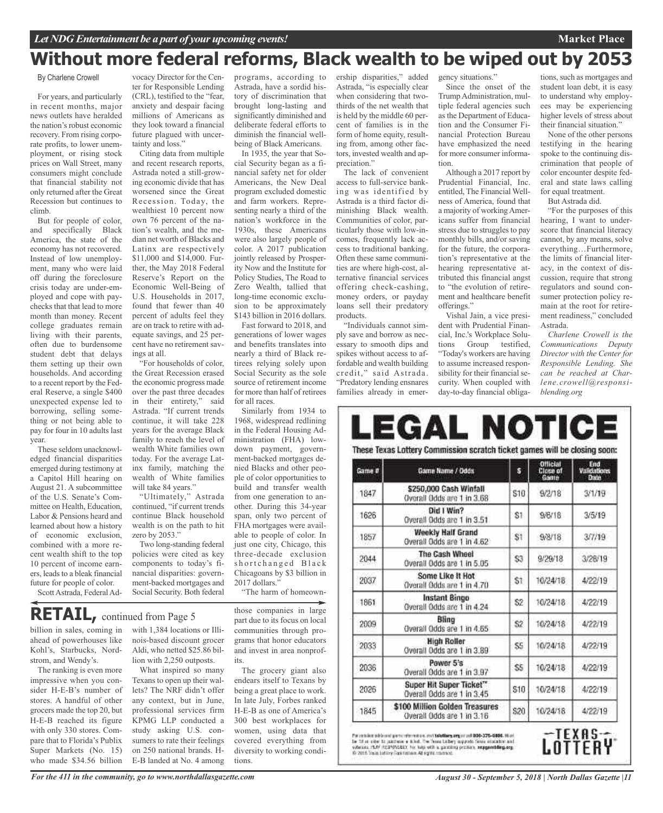## **Without more federal reforms, Black wealth to be wiped out by 2053**

#### By Charlene Crowell

For years, and particularly in recent months, major news outlets have heralded the nation's robust economic recovery. From rising corporate profits, to lower unemployment, or rising stock prices on Wall Street, many consumers might conclude that financial stability not only returned after the Great Recession but continues to climb.

But for people of color, and specifically Black America, the state of the economy has not recovered. Instead of low unemployment, many who were laid off during the foreclosure crisis today are under-employed and cope with paychecks that that lead to more month than money. Recent college graduates remain living with their parents, often due to burdensome student debt that delays them setting up their own households. And according to a recent report by the Federal Reserve, a single \$400 unexpected expense led to borrowing, selling something or not being able to pay for four in 10 adults last year.

These seldom unacknowledged financial disparities emerged during testimony at a Capitol Hill hearing on August 21. A subcommittee of the U.S. Senate's Committee on Health, Education, Labor & Pensions heard and learned about how a history of economic exclusion, combined with a more recent wealth shift to the top 10 percent of income earners, leads to a bleak financial future for people of color.

Scott Astrada, Federal Ad-

vocacy Director for the Center for Responsible Lending (CRL), testified to the "fear, anxiety and despair facing millions of Americans as they look toward a financial future plagued with uncertainty and loss."

Citing data from multiple and recent research reports, Astrada noted a still-growing economic divide that has worsened since the Great Recession. Today, the wealthiest 10 percent now own 76 percent of the nation's wealth, and the median net worth of Blacks and Latinx are respectively \$11,000 and \$14,000. Further, the May 2018 Federal Reserve's Report on the Economic Well-Being of U.S. Households in 2017, found that fewer than 40 percent of adults feel they are on track to retire with adequate savings, and 25 percent have no retirement savings at all.

"For households of color, the Great Recession erased the economic progress made over the past three decades in their entirety," said Astrada. "If current trends continue, it will take 228 years for the average Black family to reach the level of wealth White families own today. For the average Latinx family, matching the wealth of White families will take 84 years."

"Ultimately," Astrada continued, "if current trends continue Black household wealth is on the path to hit zero by 2053."

Two long-standing federal policies were cited as key components to today's financial disparities: government-backed mortgages and Social Security. Both federal

programs, according to Astrada, have a sordid history of discrimination that brought long-lasting and significantly diminished and deliberate federal efforts to diminish the financial wellbeing of Black Americans.

In 1935, the year that Social Security began as a financial safety net for older Americans, the New Deal program excluded domestic and farm workers. Representing nearly a third of the nation's workforce in the 1930s, these Americans were also largely people of color. A 2017 publication jointly released by Prosperity Now and the Institute for Policy Studies, The Road to Zero Wealth, tallied that long-time economic exclusion to be approximately \$143 billion in 2016 dollars.

Fast forward to 2018, and generations of lower wages and benefits translates into nearly a third of Black retirees relying solely upon Social Security as the sole source of retirement income for more than half of retirees for all races.

Similarly from 1934 to 1968, widespread redlining in the Federal Housing Administration (FHA) lowdown payment, government-backed mortgages denied Blacks and other people of color opportunities to build and transfer wealth from one generation to another. During this 34-year span, only two percent of FHA mortgages were available to people of color. In just one city, Chicago, this three-decade exclusion shortchanged Black Chicagoans by \$3 billion in 2017 dollars."

"The harm of homeown-

those companies in large part due to its focus on local communities through programs that honor educators and invest in area nonprof-

The grocery giant also endears itself to Texans by being a great place to work. In late July, Forbes ranked H-E-B as one of America's 300 best workplaces for women, using data that covered everything from diversity to working condi-

its.

tions.

**RETAIL,** continued from Page <sup>5</sup>

billion in sales, coming in ahead of powerhouses like Kohl's, Starbucks, Nordstrom, and Wendy's.

The ranking is even more impressive when you consider H-E-B's number of stores. A handful of other grocers made the top 20, but H-E-B reached its figure with only 330 stores. Compare that to Florida's Publix Super Markets (No. 15) who made \$34.56 billion

with 1,384 locations or Illinois-based discount grocer Aldi, who netted \$25.86 billion with 2,250 outposts.

What inspired so many Texans to open up their wallets? The NRF didn't offer any context, but in June, professional services firm KPMG LLP conducted a study asking U.S. consumers to rate their feelings on 250 national brands. H-E-B landed at No. 4 among ership disparities," added Astrada, "is especially clear when considering that twothirds of the net wealth that is held by the middle 60 percent of families is in the form of home equity, resulting from, among other factors, invested wealth and appreciation."

The lack of convenient access to full-service banking was identified by Astrada is a third factor diminishing Black wealth. Communities of color, particularly those with low-incomes, frequently lack access to traditional banking. Often these same communities are where high-cost, alternative financial services offering check-cashing, money orders, or payday loans sell their predatory products.

"Individuals cannot simply save and borrow as necessary to smooth dips and spikes without access to affordable and wealth building credit," said Astrada. "Predatory lending ensnares families already in emer-

gency situations." Since the onset of the TrumpAdministration, multiple federal agencies such asthe Department of Education and the Consumer Financial Protection Bureau have emphasized the need for more consumer informa-

tion.

Although a 2017 report by Prudential Financial, Inc. entitled, The Financial Wellness of America, found that a majority of workingAmericans suffer from financial stress due to struggles to pay monthly bills, and/or saving for the future, the corporation's representative at the hearing representative attributed this financial angst to "the evolution of retirement and healthcare benefit offerings."

Vishal Jain, a vice president with Prudential Financial, Inc.'s Workplace Solutions Group testified, "Today's workers are having to assume increased responsibility for their financial security. When coupled with day-to-day financial obliga-

tions, such as mortgages and student loan debt, it is easy to understand why employees may be experiencing higher levels of stress about their financial situation."

**Market Place**

None of the other persons testifying in the hearing spoke to the continuing discrimination that people of color encounter despite federal and state laws calling for equal treatment.

But Astrada did.

"For the purposes of this hearing, I want to underscore that financial literacy cannot, by any means, solve everything…Furthermore, the limits of financial literacy, in the context of discussion, require that strong regulators and sound consumer protection policy remain at the root for retirement readiness," concluded Astrada.

*Charlene Crowell is the Communications Deputy Director with the Center for Responsible Lending. She can be reached at Charlene.crowell@responsiblending.org*

| Game # | Game Name / Odds                                             | s    | Official<br>Close of<br>Game | End<br><b>Validations</b><br>Date |
|--------|--------------------------------------------------------------|------|------------------------------|-----------------------------------|
| 1847   | \$250,000 Cash Winfall<br>Overall Odds are 1 in 3.68         | \$10 | 9/2/18                       | 3/1/19                            |
| 1626   | Did I Win?<br>Overall Odds are 1 in 3.51                     | S1   | 9/6/18                       | 3/5/19                            |
| 1857   | Weekly Half Grand<br>Overall Odds are 1 in 4.62              | Sì.  | 9/8/18                       | 3/7/19                            |
| 2044   | The Cash Wheel<br>Overall Odds are 1 in 5.05                 | S3   | 9/29/18                      | 3/28/19                           |
| 2037   | Some Like It Hot<br>Overall Odds are 1 in 4.70               | \$1  | 10/24/18                     | 4/22/19                           |
| 1861   | <b>Instant Bingo</b><br>Overall Odds are 1 in 4.24           | S2   | 10/24/18                     | 4/22/19                           |
| 2009   | Bling<br>Overall Odds are 1 in 4,65                          | Ś2   | 10/24/18                     | 4/22/19                           |
| 2033   | <b>High Roller</b><br>Overall Odds are 1 in 3.89             | S5   | 10/24/18                     | 4/22/19                           |
| 2036   | Power 5's<br>Overall Odds are 1 in 3.97                      | \$5  | 10/24/18                     | 4/22/19                           |
| 2026   | Super Hit Super Ticket"<br>Overall Odds are 1 in 3.45        | \$10 | 10/24/18                     | 4/22/19                           |
| 1845   | \$100 Million Golden Treasures<br>Overall Odds are 1 in 3.16 | S20  | 10/24/18                     | 4/22/19                           |

lie 18 or older to partners a dchot. The Years Labley supports falses attacked and<br>sylamics. PLAY RESPANSION, his hulp with a garming problem, **responsibling.org**<br>ID 2016 Train Labley Carl tonors. All sights reserved.

LOTTERY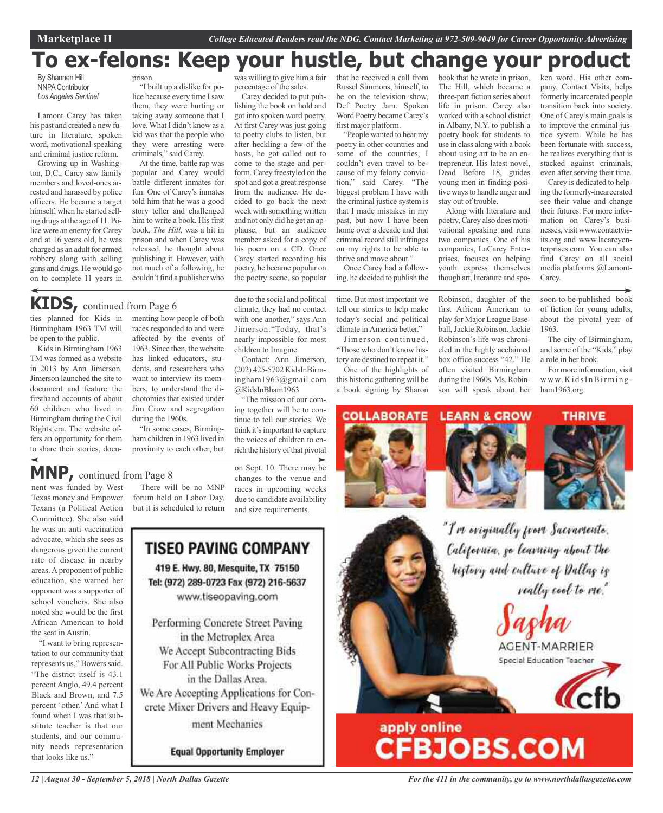# **To ex-felons: Keep your hustle, but change your product**

By Shannen Hill **NNPA Contributor** *LosAngeles Sentinel*

Lamont Carey has taken his past and created a new future in literature, spoken word, motivational speaking and criminal justice reform.

Growing up in Washington, D.C., Carey saw family members and loved-ones arrested and harassed by police officers. He became a target himself, when he started selling drugs at the age of 11. Police were an enemy for Carey and at 16 years old, he was charged as an adult for armed robbery along with selling guns and drugs. He would go on to complete 11 years in

Birmingham 1963 TM will be open to the public.

Kids in Birmingham 1963 TM was formed as a website in 2013 by Ann Jimerson. Jimerson launched the site to document and feature the firsthand accounts of about 60 children who lived in Birmingham during the Civil Rights era. The website of-

"I built up a dislike for police because every time Isaw them, they were hurting or taking away someone that I love.What I didn't know as a kid was that the people who they were arresting were

prison.

criminals," said Carey. At the time, battle rap was popular and Carey would battle different inmates for fun. One of Carey's inmates told him that he was a good story teller and challenged him to write a book. His first book, *The Hill*, was a hit in prison and when Carey was released, he thought about publishing it. However, with not much of a following, he couldn't find a publisher who

races responded to and were affected by the events of 1963. Since then, the website has linked educators, students, and researchers who want to interview its members, to understand the dichotomies that existed under Jim Crow and segregation

was willing to give him a fair percentage of the sales.

Carey decided to put publishing the book on hold and got into spoken word poetry. At first Carey was just going to poetry clubs to listen, but after heckling a few of the hosts, he got called out to come to the stage and perform. Carey freestyled on the spot and got a great response from the audience. He decided to go back the next week with something written and not only did he get an applause, but an audience member asked for a copy of his poem on a CD. Once Carey started recording his poetry, he became popular on the poetry scene, so popular

due to the social and political climate, they had no contact with one another," says Ann Jimerson."Today, that's nearly impossible for most

Contact: Ann Jimerson,

rich the history of that pivotal

children to Imagine.

that he received a call from Russel Simmons, himself, to be on the television show, Def Poetry Jam. Spoken Word Poetry became Carey's first major platform.

"People wanted to hear my poetry in other countries and some of the countries, I couldn't even travel to because of my felony conviction," said Carey. "The biggest problem I have with the criminal justice system is that I made mistakes in my past, but now I have been home over a decade and that criminal record still infringes on my rights to be able to thrive and move about."

Once Carey had a following, he decided to publish the

time. But most important we tell our stories to help make today's social and political Robinson, daughter of the first African American to play for Major League Base-

climate in America better." Jimerson continued, "Those who don't know history are destined to repeat it."

One of the highlights of this historic gathering will be

book that he wrote in prison, The Hill, which became a three-part fiction series about life in prison. Carey also worked with a school district in Albany, N.Y. to publish a poetry book for students to use in class along with a book about using art to be an entrepreneur. His latest novel, Dead Before 18, guides young men in finding positive ways to handle anger and stay out of trouble.

Along with literature and poetry, Carey also does motivational speaking and runs two companies. One of his companies, LaCarey Enterprises, focuses on helping youth express themselves though art, literature and spo-

ball, Jackie Robinson. Jackie Robinson's life was chronicled in the highly acclaimed box office success "42." He often visited Birmingham

ken word. His other company, Contact Visits, helps formerly incarcerated people transition back into society. One of Carey's main goals is to improve the criminal justice system. While he has been fortunate with success, he realizes everything that is stacked against criminals, even after serving their time.

Carey is dedicated to helping the formerly-incarcerated see their value and change their futures. For more information on Carey's businesses, visit www.contactvisits.org and www.lacareyenterprises.com. You can also find Carey on all social media platforms @Lamont-Carey.

soon-to-be-published book of fiction for young adults, about the pivotal year of 1963.

The city of Birmingham, and some of the "Kids," play a role in her book.

For more information, visit www.KidsInBirmingham1963.org.

(202) 425-5702 KidsInBirmingham1963@gmail.com during the 1960s. Ms. Robin-@KidsInBham1963 a book signing by Sharon son will speak about her "The mission of our coming together will be to con-**COLLABORATE** tinue to tell our stories. We think it's important to capture the voices of children to en-







"I've originally from Sacramento. California, go learning about the history and culture of Dallag is really cool to me."





# apply online **CFBJOBS.COM**

fers an opportunity for them to share their stories, docuham children in 1963 lived in proximity to each other, but

ties planned for Kids in menting how people of both

**KIDS,** continued from Page <sup>6</sup>

## **MNP,** continued from Page <sup>8</sup>

nent was funded by West Texas money and Empower Texans (a Political Action Committee). She also said he was an anti-vaccination advocate, which she sees as dangerous given the current rate of disease in nearby areas.Aproponent of public education, she warned her opponent was a supporter of school vouchers. She also noted she would be the first African American to hold the seat in Austin.

"I want to bring representation to our community that represents us," Bowers said. "The district itself is 43.1 percent Anglo, 49.4 percent Black and Brown, and 7.5 percent 'other.' And what I found when I was that substitute teacher is that our students, and our community needs representation that looks like us."

There will be no MNP forum held on Labor Day, but it is scheduled to return

"In some cases, Birming-

during the 1960s.

on Sept. 10. There may be changes to the venue and races in upcoming weeks due to candidate availability and size requirements.

## TISEO PAVING COMPANY 419 E. Hwy. 80, Mesquite, TX 75150 Tel: (972) 289-0723 Fax (972) 216-5637 www.tiseopaving.com Performing Concrete Street Paving in the Metroplex Area We Accept Subcontracting Bids

For All Public Works Projects in the Dallas Area. We Are Accepting Applications for Concrete Mixer Drivers and Heavy Equipment Mechanics

**Equal Opportunity Employer** 

*12 | August 30 - September 5, 2018 | North Dallas Gazette*

*For the 411 in the community, go to www.northdallasgazette.com*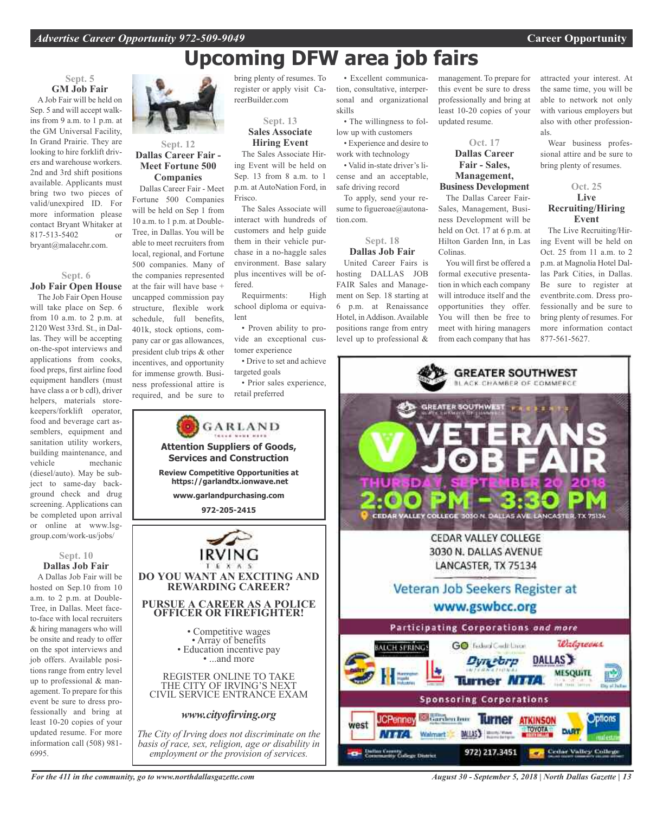# **Upcoming DFW area job fairs**

## **Sept. 5 GM Job Fair**

A Job Fair will be held on Sep. 5 and will accept walkins from 9 a.m. to 1 p.m. at the GM Universal Facility, In Grand Prairie. They are looking to hire forklift drivers and warehouse workers. 2nd and 3rd shift positions available. Applicants must bring two two pieces of valid/unexpired ID. For more information please contact Bryant Whitaker at 817-513-5402 or bryant@malacehr.com.

#### **Sept. 6 Job Fair Open House**

The Job Fair Open House will take place on Sep. 6 from 10 a.m. to 2 p.m. at 2120 West 33rd. St., in Dallas. They will be accepting on-the-spot interviews and applications from cooks, food preps, first airline food equipment handlers (must have class a or b cdl), driver helpers, materials storekeepers/forklift operator, food and beverage cart assemblers, equipment and sanitation utility workers, building maintenance, and vehicle mechanic (diesel/auto). May be subject to same-day background check and drug screening. Applications can be completed upon arrival or online at www.lsggroup.com/work-us/jobs/

## **Sept. 10 Dallas Job Fair**

A Dallas Job Fair will be hosted on Sep.10 from 10 a.m. to 2 p.m. at Double-Tree, in Dallas. Meet faceto-face with local recruiters & hiring managers who will be onsite and ready to offer on the spot interviews and job offers. Available positions range from entry level up to professional & management. To prepare for this event be sure to dress professionally and bring at least 10-20 copies of your updated resume. For more information call (508) 981- 6995.



#### **Sept. 12 Dallas Career Fair - Meet Fortune 500 Companies**

Dallas Career Fair - Meet Fortune 500 Companies will be held on Sep 1 from 10 a.m. to 1 p.m. at Double-Tree, in Dallas. You will be able to meet recruiters from local, regional, and Fortune 500 companies. Many of the companies represented at the fair will have base + uncapped commission pay structure, flexible work schedule, full benefits, 401k, stock options, company car or gas allowances, president club trips & other incentives, and opportunity for immense growth. Business professional attire is required, and be sure to

bring plenty of resumes. To register or apply visit CareerBuilder.com

#### **Sept. 13 Sales Associate Hiring Event**

The Sales Associate Hiring Event will be held on Sep. 13 from 8 a.m. to 1 p.m. at AutoNation Ford, in Frisco.

The Sales Associate will interact with hundreds of customers and help guide them in their vehicle purchase in a no-haggle sales environment. Base salary plus incentives will be offered.

Requirments: High school diploma or equivalent

• Proven ability to provide an exceptional customer experience

• Drive to set and achieve targeted goals

• Prior sales experience, retail preferred



*basis of race, sex, religion, age or disability in employment or the provision of services.*

• Excellent communication, consultative, interpersonal and organizational skills

• The willingness to follow up with customers

• Experience and desire to work with technology

• Valid in-state driver's license and an acceptable, safe driving record

To apply, send your resume to figueroae@autonation.com.

## **Sept. 18**

**Dallas Job Fair** United Career Fairs is hosting DALLAS JOB FAIR Sales and Management on Sep. 18 starting at 6 p.m. at Renaissance Hotel, in Addison. Available positions range from entry level up to professional &

management. To prepare for this event be sure to dress professionally and bring at least 10-20 copies of your updated resume.

## **Oct. 17 Dallas Career Fair - Sales,**

**Management, Business Development**

The Dallas Career Fair-Sales, Management, Business Development will be held on Oct. 17 at 6 p.m. at Hilton Garden Inn, in Las Colinas.

You will first be offered a formal executive presentation in which each company will introduce itself and the opportunities they offer. You will then be free to meet with hiring managers from each company that has attracted your interest. At the same time, you will be able to network not only with various employers but also with other professionals.

Wear business professional attire and be sure to bring plenty of resumes.

#### **Oct. 25 Live Recruiting/Hiring Event**

The Live Recruiting/Hiring Event will be held on Oct. 25 from 11 a.m. to 2 p.m. at Magnolia Hotel Dallas Park Cities, in Dallas. Be sure to register at eventbrite.com. Dress professionally and be sure to bring plenty of resumes. For more information contact 877-561-5627.

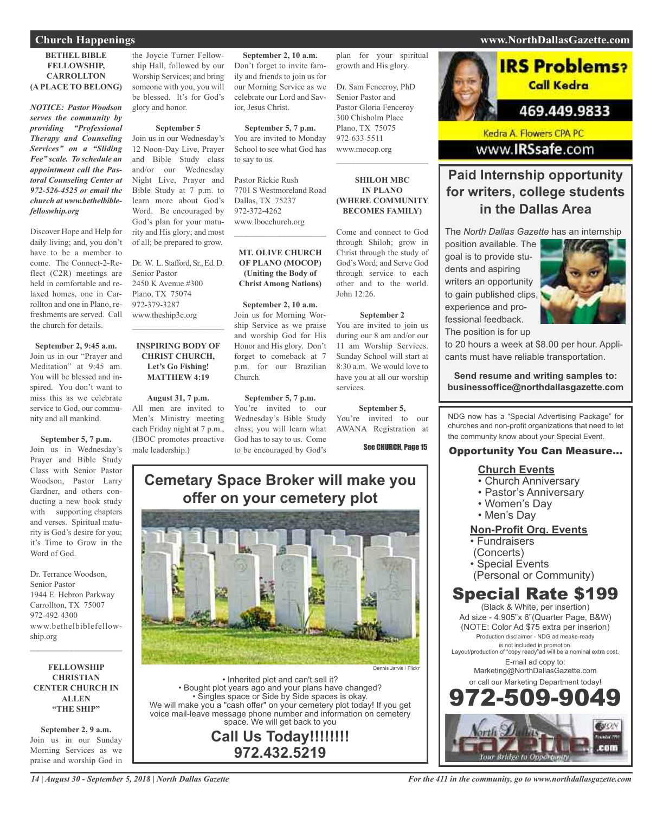#### **BETHEL BIBLE FELLOWSHIP, CARROLLTON (A PLACE TO BELONG)**

*NOTICE: Pastor Woodson serves the community by providing "Professional Therapy and Counseling Services" on a "Sliding Fee" scale. To schedule an appointment call the Pastoral Counseling Center at 972-526-4525 or email the church at www.bethelbiblefelloswhip.org*

Discover Hope and Help for daily living; and, you don't have to be a member to come. The Connect-2-Reflect (C2R) meetings are held in comfortable and relaxed homes, one in Carrollton and one in Plano, refreshments are served. Call the church for details.

**September 2, 9:45 a.m.** Join us in our "Prayer and Meditation" at 9:45 am. You will be blessed and inspired. You don't want to miss this as we celebrate service to God, our community and all mankind.

#### **September 5, 7 p.m.**

Join us in Wednesday's Prayer and Bible Study Class with Senior Pastor Woodson, Pastor Larry Gardner, and others conducting a new book study with supporting chapters and verses. Spiritual maturity is God's desire for you; it's Time to Grow in the Word of God.

Dr. Terrance Woodson, Senior Pastor 1944 E. Hebron Parkway Carrollton, TX 75007 972-492-4300 www.bethelbiblefellowship.org

**FELLOWSHIP CHRISTIAN CENTER CHURCH IN ALLEN "THE SHIP"**

 $\mathcal{L}_\text{max}$  and  $\mathcal{L}_\text{max}$  and  $\mathcal{L}_\text{max}$ 

**September 2, 9 a.m.** Join us in our Sunday Morning Services as we praise and worship God in the Joycie Turner Fellowship Hall, followed by our Worship Services; and bring someone with you, you will be blessed. It's for God's glory and honor.

#### **September 5**

Join us in our Wednesday's 12 Noon-Day Live, Prayer and Bible Study class and/or our Wednesday Night Live, Prayer and Bible Study at 7 p.m. to learn more about God's Word. Be encouraged by God's plan for your maturity and His glory; and most of all; be prepared to grow.

Dr. W. L. Stafford, Sr., Ed. D. Senior Pastor 2450 K Avenue #300 Plano, TX 75074 972-379-3287 www.theship3c.org  $\overline{\phantom{a}}$  , and the set of the set of the set of the set of the set of the set of the set of the set of the set of the set of the set of the set of the set of the set of the set of the set of the set of the set of the s

#### **INSPIRING BODY OF CHRIST CHURCH, Let's Go Fishing! MATTHEW 4:19**

**August 31, 7 p.m.** All men are invited to Men's Ministry meeting each Friday night at 7 p.m., (IBOC promotes proactive male leadership.)

**September 2, 10 a.m.** Don't forget to invite family and friends to join us for our Morning Service as we celebrate our Lord and Savior, Jesus Christ.

**September 5, 7 p.m.** You are invited to Monday School to see what God has to say to us.

Pastor Rickie Rush 7701 S Westmoreland Road Dallas, TX 75237 972-372-4262 www.Ibocchurch.org

#### **MT. OLIVE CHURCH OF PLANO (MOCOP) (Uniting the Body of Christ Among Nations)**

 $\mathcal{L}_\mathcal{L}$  , where  $\mathcal{L}_\mathcal{L}$  is the set of the set of the set of the set of the set of the set of the set of the set of the set of the set of the set of the set of the set of the set of the set of the set of the

**September 2, 10 a.m.** Join us for Morning Worship Service as we praise and worship God for His Honor and His glory. Don't forget to comeback at 7 p.m. for our Brazilian Church.

**September 5, 7 p.m.** You're invited to our Wednesday's Bible Study class; you will learn what God has to say to us. Come to be encouraged by God's

plan for your spiritual growth and His glory.

Dr. Sam Fenceroy, PhD Senior Pastor and Pastor Gloria Fenceroy 300 Chisholm Place Plano, TX 75075 972-633-5511 www.mocop.org

#### **SHILOH MBC IN PLANO (WHERE COMMUNITY BECOMES FAMILY)**

 $\mathcal{L}$  , and the set of the set of the set of the set of the set of the set of the set of the set of the set of the set of the set of the set of the set of the set of the set of the set of the set of the set of the set

Come and connect to God through Shiloh; grow in Christ through the study of God's Word; and Serve God through service to each other and to the world. John  $12.26$ .

#### **September 2**

You are invited to join us during our 8 am and/or our 11 am Worship Services. Sunday School will start at 8:30 a.m. We would love to have you at all our worship services.

## **September 5,**

You're invited to our AWANA Registration at

See CHURCH, Page 15

## **Cemetary Space Broker will make you offer on your cemetery plot**



• Inherited plot and can't sell it? • Bought plot years ago and your plans have changed? • Singles space or Side by Side spaces is okay. We will make you a "cash offer" on your cemetery plot today! If you get voice mail-leave message phone number and information on cemetery space. We will get back to you

**Call Us Today!!!!!!!! 972.432.5219**

# **IRS Problems?**

Call Kedra

## 469.449.9833

Kedra A. Flowers CPA PC www.IRSsafe.com

## **Paid Internship opportunity for writers, college students in the Dallas Area**

The *North Dallas Gazette* has an internship

position available. The goal is to provide students and aspiring writers an opportunity to gain published clips, experience and professional feedback. The position is for up



to 20 hours a week at \$8.00 per hour. Applicants must have reliable transportation.

**Send resume and writing samples to: businessoffice@northdallasgazette.com**

NDG now has a "Special Advertising Package" for churches and non-profit organizations that need to let the community know about your Special Event.

## Opportunity You Can Measure...

## **Church Events**

- Church Anniversary
- Pastor's Anniversary
- Women's Day
- Men's Day

## **Non-Profit Org. Events**

- Fundraisers
- (Concerts)
- Special Events
- (Personal or Community)

## Special Rate \$199

(Black & White, per insertion) Ad size - 4.905"x 6"(Quarter Page, B&W) (NOTE: Color Ad \$75 extra per inserion) Production disclaimer - NDG ad meake-ready is not included in promotion. Layout/production of "copy ready"ad will be a nominal extra cost. E-mail ad copy to: Marketing@NorthDallasGazette.com or call our Marketing Department today! 972-509-9049

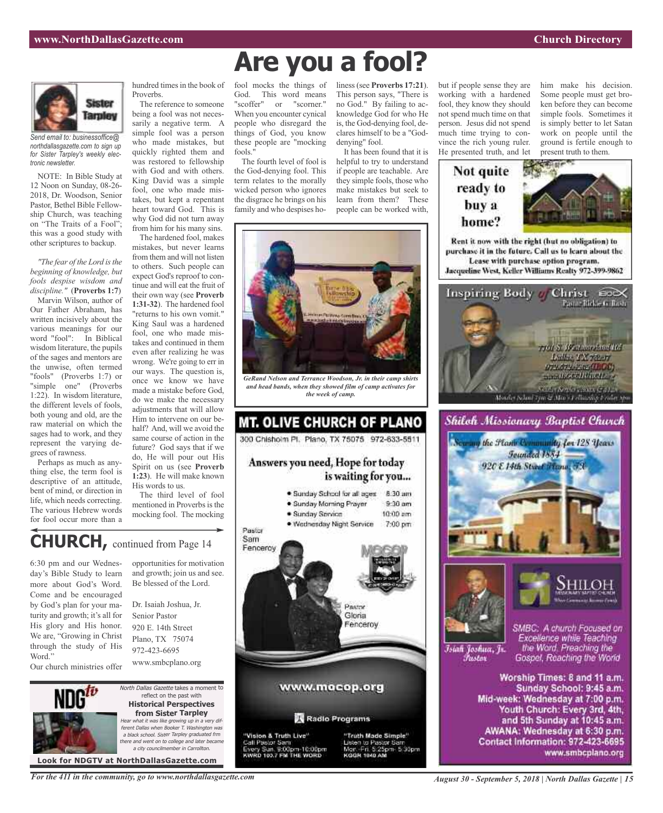

*Send email to: businessoffice@ northdallasgazette.com to sign up for Sister Tarpley's weekly electronic newsletter.*

NOTE: In Bible Study at 12 Noon on Sunday, 08-26- 2018, Dr. Woodson, Senior Pastor, Bethel Bible Fellowship Church, was teaching on "The Traits of a Fool"; this was a good study with other scriptures to backup.

*"The fear of the Lord isthe beginning of knowledge, but fools despise wisdom and discipline."* (**Proverbs 1:7**)

Marvin Wilson, author of Our Father Abraham, has written incisively about the various meanings for our word "fool": In Biblical wisdom literature, the pupils of the sages and mentors are the unwise, often termed "fools" (Proverbs 1:7) or "simple one" (Proverbs 1:22). In wisdom literature, the different levels of fools, both young and old, are the raw material on which the sages had to work, and they represent the varying degrees of rawness.

Perhaps as much as anything else, the term fool is descriptive of an attitude, bent of mind, or direction in life, which needs correcting. The various Hebrew words for fool occur more than a

hundred times in the book of **Proverbs** 

The reference to someone being a fool was not necessarily a negative term. A simple fool was a person who made mistakes, but quickly righted them and was restored to fellowship with God and with others. King David was a simple fool, one who made mistakes, but kept a repentant heart toward God. This is why God did not turn away from him for his many sins.

The hardened fool, makes mistakes, but never learns from them and will not listen to others. Such people can expect God's reproof to continue and will eat the fruit of their own way (see **Proverb 1:31-32**). The hardened fool "returns to his own vomit." King Saul was a hardened fool, one who made mistakes and continued in them even after realizing he was wrong. We're going to err in our ways. The question is, once we know we have made a mistake before God, do we make the necessary adjustments that will allow Him to intervene on our behalf? And, will we avoid the same course of action in the future? God says that if we do, He will pour out His Spirit on us (see **Proverb 1:23**). He will make known His words to us.

The third level of fool mentioned in Proverbs is the mocking fool. The mocking

opportunities for motivation and growth; join us and see. Be blessed of the Lord.

Dr. Isaiah Joshua, Jr.

Senior Pastor 920 E. 14th Street Plano, TX 75074 972-423-6695 www.smbcplano.org

## **CHURCH,** continued from Page <sup>14</sup>

6:30 pm and our Wednesday's Bible Study to learn more about God's Word. Come and be encouraged by God's plan for your maturity and growth; it's all for His glory and His honor. We are, "Growing in Christ through the study of His Word."

Our church ministries offer



North Dallas Gazette takes a moment to reflect on the past with **Historical Perspectives from Sister Tarpley** Hear what it was like growing up in <sup>a</sup> very different Dallas when Booker T. Washington was <sup>a</sup> black school. Sister Tarpley graduated frm there and went on to college and later became <sup>a</sup> city councilmember in Carrollton.

**Look for NDGTV at NorthDallasGazette.com**

*For the 411 in the community, go to www.northdallasgazette.com*

fool mocks the things of This word means<br>r" or "scorner." liness(see **Proverbs 17:21**). **Are you a fool?**

"scoffer" or When you encounter cynical people who disregard the things of God, you know these people are "mocking fools."

The fourth level of fool is the God-denying fool. This term relates to the morally wicked person who ignores the disgrace he brings on his family and who despises hoThis person says, "There is no God." By failing to acknowledge God for who He is, the God-denying fool, declares himself to be a "Goddenying" fool.

It has been found that it is helpful to try to understand if people are teachable. Are they simple fools, those who make mistakes but seek to learn from them? These people can be worked with,



*GeRand Nelson and Terrance Woodson, Jr. in their camp shirts and head bands, when they showed film of camp activates for the week of camp.*



but if people sense they are working with a hardened fool, they know they should not spend much time on that person. Jesus did not spend much time trying to convince the rich young ruler. He presented truth, and let him make his decision. Some people must get broken before they can become simple fools. Sometimes it is simply better to let Satan work on people until the ground is fertile enough to present truth to them.

## Not quite ready to buy a home?



Rent it now with the right (but no obligation) to purchase it in the future. Call us to learn about the Lease with purchase option program. Jacqueline West, Keller Williams Realty 972-399-9862







Īsiah Joshua, Jr. Fustor

SMBC: A church Focused on Excellence while Teaching the Word. Preaching the Gospel, Reaching the World

Worship Times: 8 and 11 a.m. Sunday School: 9:45 a.m. Mid-week: Wednesday at 7:00 p.m. Youth Church: Every 3rd, 4th, and 5th Sunday at 10:45 a.m. AWANA: Wednesday at 6:30 p.m. Contact Information: 972-423-6695 www.smbcplano.org

*August 30 - September 5, 2018 | North Dallas Gazette | 15*